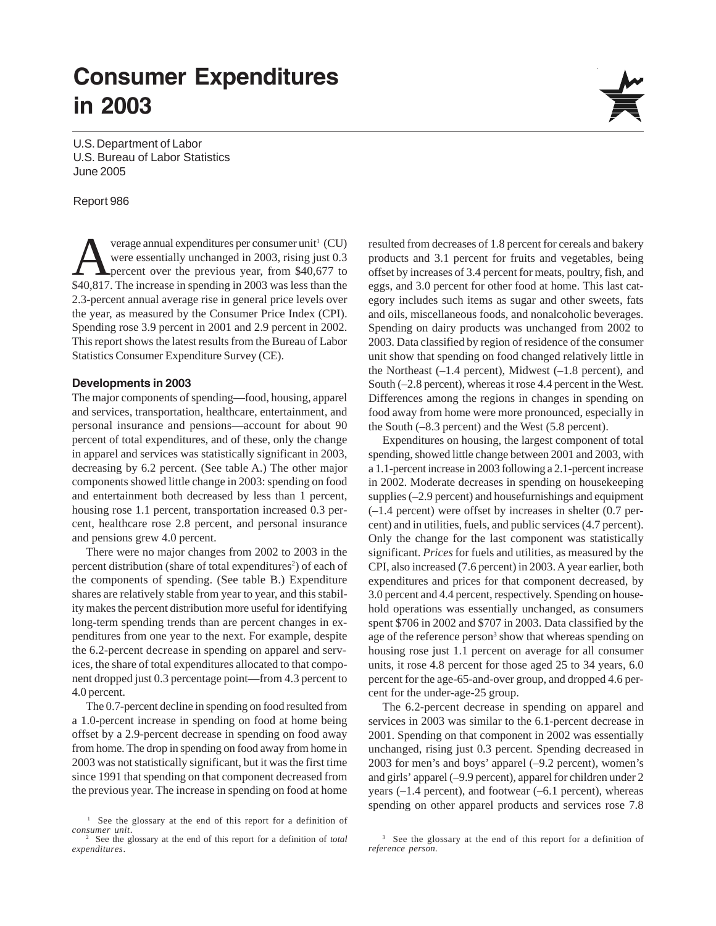# **Consumer Expenditures in 2003**

U.S. Department of Labor U.S. Bureau of Labor Statistics June 2005

#### Report 986

verage annual expenditures per consumer unit<sup>1</sup> (CU)<br>were essentially unchanged in 2003, rising just 0.3<br>percent over the previous year, from \$40,677 to<br>\$40,817. The increase in aparting in 2003 were less than the verage annual expenditures per consumer unit<sup>1</sup> (CU) were essentially unchanged in 2003, rising just 0.3 \$40,817. The increase in spending in 2003 was less than the 2.3-percent annual average rise in general price levels over the year, as measured by the Consumer Price Index (CPI). Spending rose 3.9 percent in 2001 and 2.9 percent in 2002. This report shows the latest results from the Bureau of Labor Statistics Consumer Expenditure Survey (CE).

#### **Developments in 2003**

The major components of spending—food, housing, apparel and services, transportation, healthcare, entertainment, and personal insurance and pensions—account for about 90 percent of total expenditures, and of these, only the change in apparel and services was statistically significant in 2003, decreasing by 6.2 percent. (See table A.) The other major components showed little change in 2003: spending on food and entertainment both decreased by less than 1 percent, housing rose 1.1 percent, transportation increased 0.3 percent, healthcare rose 2.8 percent, and personal insurance and pensions grew 4.0 percent.

There were no major changes from 2002 to 2003 in the percent distribution (share of total expenditures<sup>2</sup>) of each of the components of spending. (See table B.) Expenditure shares are relatively stable from year to year, and this stability makes the percent distribution more useful for identifying long-term spending trends than are percent changes in expenditures from one year to the next. For example, despite the 6.2-percent decrease in spending on apparel and services, the share of total expenditures allocated to that component dropped just 0.3 percentage point—from 4.3 percent to 4.0 percent.

The 0.7-percent decline in spending on food resulted from a 1.0-percent increase in spending on food at home being offset by a 2.9-percent decrease in spending on food away from home. The drop in spending on food away from home in 2003 was not statistically significant, but it was the first time since 1991 that spending on that component decreased from the previous year. The increase in spending on food at home resulted from decreases of 1.8 percent for cereals and bakery products and 3.1 percent for fruits and vegetables, being offset by increases of 3.4 percent for meats, poultry, fish, and eggs, and 3.0 percent for other food at home. This last category includes such items as sugar and other sweets, fats and oils, miscellaneous foods, and nonalcoholic beverages. Spending on dairy products was unchanged from 2002 to 2003. Data classified by region of residence of the consumer unit show that spending on food changed relatively little in the Northeast  $(-1.4$  percent), Midwest  $(-1.8$  percent), and South (–2.8 percent), whereas it rose 4.4 percent in the West. Differences among the regions in changes in spending on food away from home were more pronounced, especially in the South (–8.3 percent) and the West (5.8 percent).

Expenditures on housing, the largest component of total spending, showed little change between 2001 and 2003, with a 1.1-percent increase in 2003 following a 2.1-percent increase in 2002. Moderate decreases in spending on housekeeping supplies (–2.9 percent) and housefurnishings and equipment (–1.4 percent) were offset by increases in shelter (0.7 percent) and in utilities, fuels, and public services (4.7 percent). Only the change for the last component was statistically significant. *Prices* for fuels and utilities, as measured by the CPI, also increased (7.6 percent) in 2003. A year earlier, both expenditures and prices for that component decreased, by 3.0 percent and 4.4 percent, respectively. Spending on household operations was essentially unchanged, as consumers spent \$706 in 2002 and \$707 in 2003. Data classified by the age of the reference person<sup>3</sup> show that whereas spending on housing rose just 1.1 percent on average for all consumer units, it rose 4.8 percent for those aged 25 to 34 years, 6.0 percent for the age-65-and-over group, and dropped 4.6 percent for the under-age-25 group.

The 6.2-percent decrease in spending on apparel and services in 2003 was similar to the 6.1-percent decrease in 2001. Spending on that component in 2002 was essentially unchanged, rising just 0.3 percent. Spending decreased in 2003 for men's and boys' apparel (–9.2 percent), women's and girls' apparel (–9.9 percent), apparel for children under 2 years (–1.4 percent), and footwear (–6.1 percent), whereas spending on other apparel products and services rose 7.8



<sup>&</sup>lt;sup>1</sup> See the glossary at the end of this report for a definition of *consumer unit*. <sup>2</sup> See the glossary at the end of this report for a definition of *total*

*expenditures*.

<sup>&</sup>lt;sup>3</sup> See the glossary at the end of this report for a definition of *reference person.*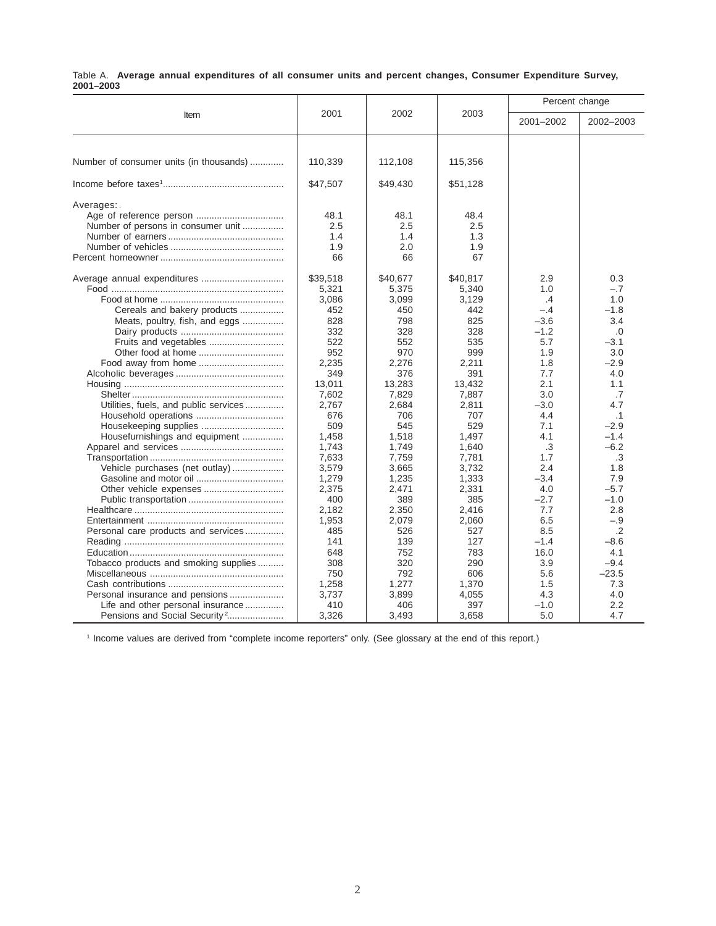|           |  | Table A. Average annual expenditures of all consumer units and percent changes, Consumer Expenditure Survey, |  |  |  |  |  |
|-----------|--|--------------------------------------------------------------------------------------------------------------|--|--|--|--|--|
| 2001-2003 |  |                                                                                                              |  |  |  |  |  |

|                                                                                                                   |                                                      |                                                      |                                                      | Percent change                  |                                         |
|-------------------------------------------------------------------------------------------------------------------|------------------------------------------------------|------------------------------------------------------|------------------------------------------------------|---------------------------------|-----------------------------------------|
| Item                                                                                                              | 2001                                                 | 2002                                                 | 2003                                                 | 2001-2002                       | 2002-2003                               |
|                                                                                                                   |                                                      |                                                      |                                                      |                                 |                                         |
| Number of consumer units (in thousands)                                                                           | 110,339                                              | 112,108                                              | 115,356                                              |                                 |                                         |
|                                                                                                                   | \$47,507                                             | \$49,430                                             | \$51,128                                             |                                 |                                         |
| Averages:<br>Number of persons in consumer unit                                                                   | 48.1<br>2.5<br>1.4<br>1.9<br>66<br>\$39,518<br>5,321 | 48.1<br>2.5<br>1.4<br>2.0<br>66<br>\$40,677<br>5,375 | 48.4<br>2.5<br>1.3<br>1.9<br>67<br>\$40,817<br>5,340 | 2.9<br>1.0                      | 0.3<br>$-.7$                            |
| Cereals and bakery products<br>Meats, poultry, fish, and eggs                                                     | 3,086<br>452<br>828<br>332                           | 3,099<br>450<br>798<br>328                           | 3.129<br>442<br>825<br>328                           | .4<br>$-.4$<br>$-3.6$<br>$-1.2$ | 1.0<br>$-1.8$<br>3.4<br>.0              |
|                                                                                                                   | 522<br>952<br>2,235<br>349                           | 552<br>970<br>2,276<br>376                           | 535<br>999<br>2,211<br>391                           | 5.7<br>1.9<br>1.8<br>7.7        | $-3.1$<br>3.0<br>$-2.9$<br>4.0          |
| Utilities, fuels, and public services                                                                             | 13,011<br>7,602<br>2,767                             | 13,283<br>7,829<br>2,684                             | 13,432<br>7,887<br>2,811                             | 2.1<br>3.0<br>$-3.0$            | 1.1<br>.7<br>4.7                        |
| Housefurnishings and equipment                                                                                    | 676<br>509<br>1,458<br>1,743                         | 706<br>545<br>1,518<br>1,749                         | 707<br>529<br>1,497<br>1,640                         | 4.4<br>7.1<br>4.1<br>.3         | $\cdot$ 1<br>$-2.9$<br>$-1.4$<br>$-6.2$ |
| Vehicle purchases (net outlay)                                                                                    | 7,633<br>3,579<br>1,279                              | 7,759<br>3,665<br>1,235                              | 7,781<br>3.732<br>1,333                              | 1.7<br>2.4<br>$-3.4$            | .3<br>1.8<br>7.9                        |
|                                                                                                                   | 2,375<br>400<br>2,182                                | 2,471<br>389<br>2,350                                | 2,331<br>385<br>2,416                                | 4.0<br>$-2.7$<br>7.7            | $-5.7$<br>$-1.0$<br>2.8                 |
| Personal care products and services                                                                               | 1,953<br>485<br>141<br>648                           | 2,079<br>526<br>139<br>752                           | 2,060<br>527<br>127<br>783                           | 6.5<br>8.5<br>$-1.4$<br>16.0    | $-.9$<br>$\cdot$ .2<br>-8.6<br>4.1      |
| Tobacco products and smoking supplies                                                                             | 308<br>750<br>1,258                                  | 320<br>792<br>1,277                                  | 290<br>606<br>1,370                                  | 3.9<br>5.6<br>1.5               | $-9.4$<br>$-23.5$<br>7.3                |
| Personal insurance and pensions<br>Life and other personal insurance<br>Pensions and Social Security <sup>2</sup> | 3,737<br>410<br>3,326                                | 3,899<br>406<br>3,493                                | 4,055<br>397<br>3,658                                | 4.3<br>$-1.0$<br>5.0            | 4.0<br>2.2<br>4.7                       |

1 Income values are derived from "complete income reporters" only. (See glossary at the end of this report.)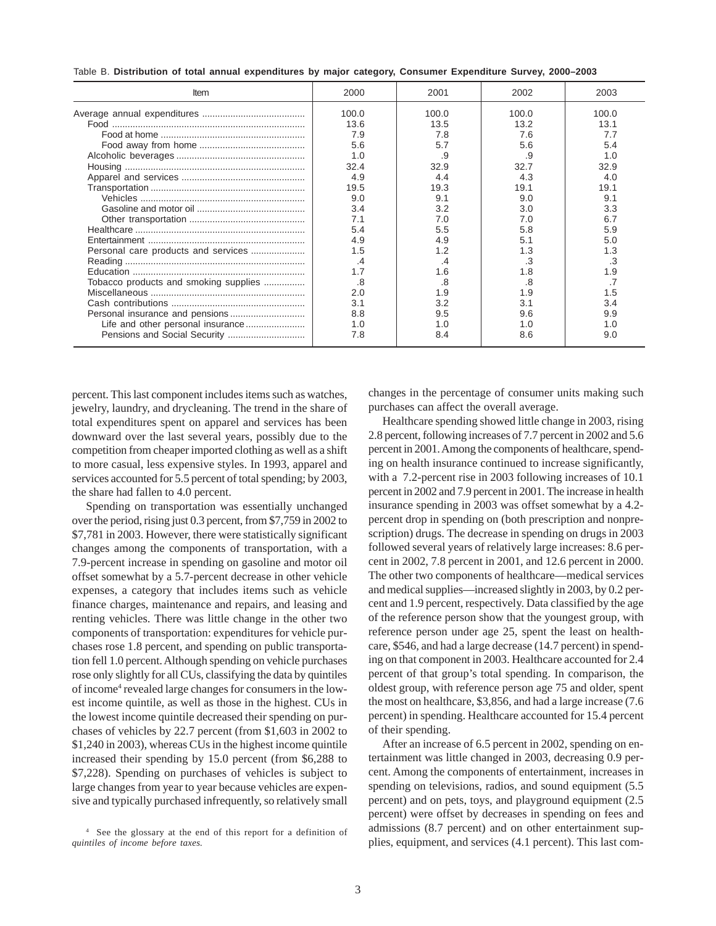| Table B. Distribution of total annual expenditures by major category, Consumer Expenditure Survey, 2000-2003 |  |
|--------------------------------------------------------------------------------------------------------------|--|
|--------------------------------------------------------------------------------------------------------------|--|

| Item                                  | 2000                                                                                                             | 2001                                                                                                     | 2002                                                                                                            | 2003                                                                                                      |
|---------------------------------------|------------------------------------------------------------------------------------------------------------------|----------------------------------------------------------------------------------------------------------|-----------------------------------------------------------------------------------------------------------------|-----------------------------------------------------------------------------------------------------------|
|                                       | 100.0<br>13.6<br>7.9<br>5.6<br>1.0<br>32.4<br>4.9<br>19.5<br>9.0<br>3.4<br>7.1<br>5.4<br>4.9<br>1.5<br>.4<br>1.7 | 100.0<br>13.5<br>7.8<br>5.7<br>.9<br>32.9<br>4.4<br>19.3<br>9.1<br>3.2<br>7.0<br>5.5<br>4.9<br>.4<br>1.6 | 100.0<br>13.2<br>7.6<br>5.6<br>.9<br>32.7<br>4.3<br>19.1<br>9.0<br>3.0<br>7.0<br>5.8<br>5.1<br>1.3<br>.3<br>1.8 | 100.0<br>13.1<br>7.7<br>5.4<br>1.0<br>32.9<br>4.0<br>19.1<br>9.1<br>3.3<br>5.9<br>5.0<br>1.3<br>.3<br>1.9 |
| Tobacco products and smoking supplies | .8<br>2.0<br>3.1<br>8.8<br>1.0<br>7.8                                                                            | .8<br>9. ا<br>3.2<br>9.5<br>1.0<br>8.4                                                                   | .8<br>1.9<br>3.1<br>9.6<br>1.0<br>8.6                                                                           | 3.4<br>9.9<br>1.0<br>9.0                                                                                  |

percent. This last component includes items such as watches, jewelry, laundry, and drycleaning. The trend in the share of total expenditures spent on apparel and services has been downward over the last several years, possibly due to the competition from cheaper imported clothing as well as a shift to more casual, less expensive styles. In 1993, apparel and services accounted for 5.5 percent of total spending; by 2003, the share had fallen to 4.0 percent.

Spending on transportation was essentially unchanged over the period, rising just 0.3 percent, from \$7,759 in 2002 to \$7,781 in 2003. However, there were statistically significant changes among the components of transportation, with a 7.9-percent increase in spending on gasoline and motor oil offset somewhat by a 5.7-percent decrease in other vehicle expenses, a category that includes items such as vehicle finance charges, maintenance and repairs, and leasing and renting vehicles. There was little change in the other two components of transportation: expenditures for vehicle purchases rose 1.8 percent, and spending on public transportation fell 1.0 percent. Although spending on vehicle purchases rose only slightly for all CUs, classifying the data by quintiles of income<sup>4</sup> revealed large changes for consumers in the lowest income quintile, as well as those in the highest. CUs in the lowest income quintile decreased their spending on purchases of vehicles by 22.7 percent (from \$1,603 in 2002 to \$1,240 in 2003), whereas CUs in the highest income quintile increased their spending by 15.0 percent (from \$6,288 to \$7,228). Spending on purchases of vehicles is subject to large changes from year to year because vehicles are expensive and typically purchased infrequently, so relatively small changes in the percentage of consumer units making such purchases can affect the overall average.

Healthcare spending showed little change in 2003, rising 2.8 percent, following increases of 7.7 percent in 2002 and 5.6 percent in 2001. Among the components of healthcare, spending on health insurance continued to increase significantly, with a 7.2-percent rise in 2003 following increases of 10.1 percent in 2002 and 7.9 percent in 2001. The increase in health insurance spending in 2003 was offset somewhat by a 4.2 percent drop in spending on (both prescription and nonprescription) drugs. The decrease in spending on drugs in 2003 followed several years of relatively large increases: 8.6 percent in 2002, 7.8 percent in 2001, and 12.6 percent in 2000. The other two components of healthcare—medical services and medical supplies—increased slightly in 2003, by 0.2 percent and 1.9 percent, respectively. Data classified by the age of the reference person show that the youngest group, with reference person under age 25, spent the least on healthcare, \$546, and had a large decrease (14.7 percent) in spending on that component in 2003. Healthcare accounted for 2.4 percent of that group's total spending. In comparison, the oldest group, with reference person age 75 and older, spent the most on healthcare, \$3,856, and had a large increase (7.6 percent) in spending. Healthcare accounted for 15.4 percent of their spending.

After an increase of 6.5 percent in 2002, spending on entertainment was little changed in 2003, decreasing 0.9 percent. Among the components of entertainment, increases in spending on televisions, radios, and sound equipment  $(5.5)$ percent) and on pets, toys, and playground equipment (2.5 percent) were offset by decreases in spending on fees and admissions (8.7 percent) and on other entertainment supplies, equipment, and services (4.1 percent). This last com-

<sup>4</sup> See the glossary at the end of this report for a definition of *quintiles of income before taxes.*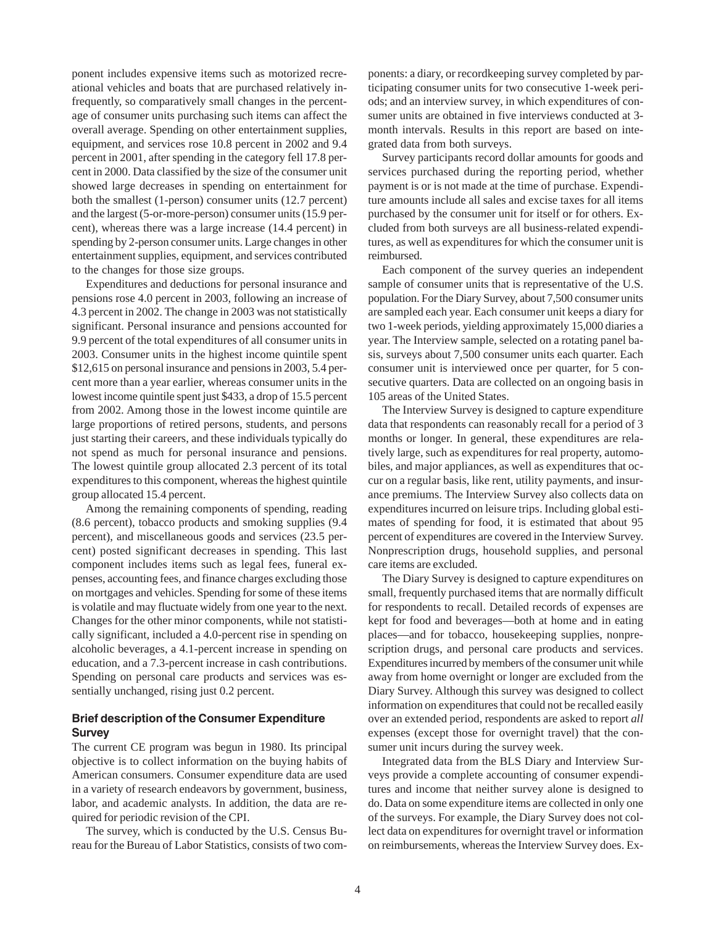ponent includes expensive items such as motorized recreational vehicles and boats that are purchased relatively infrequently, so comparatively small changes in the percentage of consumer units purchasing such items can affect the overall average. Spending on other entertainment supplies, equipment, and services rose 10.8 percent in 2002 and 9.4 percent in 2001, after spending in the category fell 17.8 percent in 2000. Data classified by the size of the consumer unit showed large decreases in spending on entertainment for both the smallest (1-person) consumer units (12.7 percent) and the largest (5-or-more-person) consumer units (15.9 percent), whereas there was a large increase (14.4 percent) in spending by 2-person consumer units. Large changes in other entertainment supplies, equipment, and services contributed to the changes for those size groups.

Expenditures and deductions for personal insurance and pensions rose 4.0 percent in 2003, following an increase of 4.3 percent in 2002. The change in 2003 was not statistically significant. Personal insurance and pensions accounted for 9.9 percent of the total expenditures of all consumer units in 2003. Consumer units in the highest income quintile spent \$12,615 on personal insurance and pensions in 2003, 5.4 percent more than a year earlier, whereas consumer units in the lowest income quintile spent just \$433, a drop of 15.5 percent from 2002. Among those in the lowest income quintile are large proportions of retired persons, students, and persons just starting their careers, and these individuals typically do not spend as much for personal insurance and pensions. The lowest quintile group allocated 2.3 percent of its total expenditures to this component, whereas the highest quintile group allocated 15.4 percent.

Among the remaining components of spending, reading (8.6 percent), tobacco products and smoking supplies (9.4 percent), and miscellaneous goods and services (23.5 percent) posted significant decreases in spending. This last component includes items such as legal fees, funeral expenses, accounting fees, and finance charges excluding those on mortgages and vehicles. Spending for some of these items is volatile and may fluctuate widely from one year to the next. Changes for the other minor components, while not statistically significant, included a 4.0-percent rise in spending on alcoholic beverages, a 4.1-percent increase in spending on education, and a 7.3-percent increase in cash contributions. Spending on personal care products and services was essentially unchanged, rising just 0.2 percent.

## **Brief description of the Consumer Expenditure Survey**

The current CE program was begun in 1980. Its principal objective is to collect information on the buying habits of American consumers. Consumer expenditure data are used in a variety of research endeavors by government, business, labor, and academic analysts. In addition, the data are required for periodic revision of the CPI.

The survey, which is conducted by the U.S. Census Bureau for the Bureau of Labor Statistics, consists of two components: a diary, or recordkeeping survey completed by participating consumer units for two consecutive 1-week periods; and an interview survey, in which expenditures of consumer units are obtained in five interviews conducted at 3 month intervals. Results in this report are based on integrated data from both surveys.

Survey participants record dollar amounts for goods and services purchased during the reporting period, whether payment is or is not made at the time of purchase. Expenditure amounts include all sales and excise taxes for all items purchased by the consumer unit for itself or for others. Excluded from both surveys are all business-related expenditures, as well as expenditures for which the consumer unit is reimbursed.

Each component of the survey queries an independent sample of consumer units that is representative of the U.S. population. For the Diary Survey, about 7,500 consumer units are sampled each year. Each consumer unit keeps a diary for two 1-week periods, yielding approximately 15,000 diaries a year. The Interview sample, selected on a rotating panel basis, surveys about 7,500 consumer units each quarter. Each consumer unit is interviewed once per quarter, for 5 consecutive quarters. Data are collected on an ongoing basis in 105 areas of the United States.

The Interview Survey is designed to capture expenditure data that respondents can reasonably recall for a period of 3 months or longer. In general, these expenditures are relatively large, such as expenditures for real property, automobiles, and major appliances, as well as expenditures that occur on a regular basis, like rent, utility payments, and insurance premiums. The Interview Survey also collects data on expenditures incurred on leisure trips. Including global estimates of spending for food, it is estimated that about 95 percent of expenditures are covered in the Interview Survey. Nonprescription drugs, household supplies, and personal care items are excluded.

The Diary Survey is designed to capture expenditures on small, frequently purchased items that are normally difficult for respondents to recall. Detailed records of expenses are kept for food and beverages—both at home and in eating places—and for tobacco, housekeeping supplies, nonprescription drugs, and personal care products and services. Expenditures incurred by members of the consumer unit while away from home overnight or longer are excluded from the Diary Survey. Although this survey was designed to collect information on expenditures that could not be recalled easily over an extended period, respondents are asked to report *all* expenses (except those for overnight travel) that the consumer unit incurs during the survey week.

Integrated data from the BLS Diary and Interview Surveys provide a complete accounting of consumer expenditures and income that neither survey alone is designed to do. Data on some expenditure items are collected in only one of the surveys. For example, the Diary Survey does not collect data on expenditures for overnight travel or information on reimbursements, whereas the Interview Survey does. Ex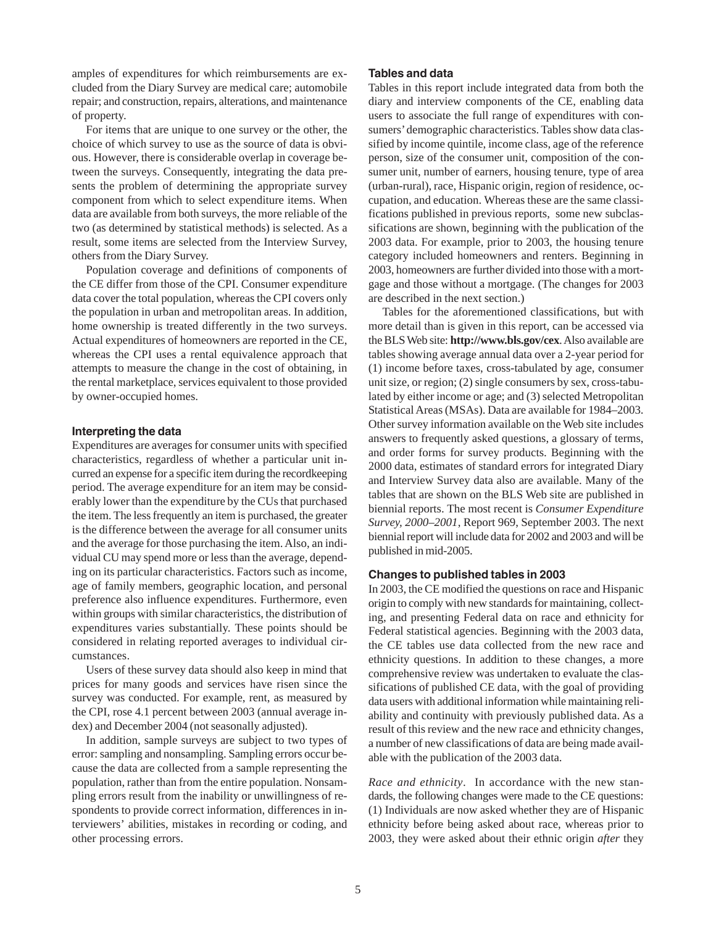amples of expenditures for which reimbursements are excluded from the Diary Survey are medical care; automobile repair; and construction, repairs, alterations, and maintenance of property.

For items that are unique to one survey or the other, the choice of which survey to use as the source of data is obvious. However, there is considerable overlap in coverage between the surveys. Consequently, integrating the data presents the problem of determining the appropriate survey component from which to select expenditure items. When data are available from both surveys, the more reliable of the two (as determined by statistical methods) is selected. As a result, some items are selected from the Interview Survey, others from the Diary Survey.

Population coverage and definitions of components of the CE differ from those of the CPI. Consumer expenditure data cover the total population, whereas the CPI covers only the population in urban and metropolitan areas. In addition, home ownership is treated differently in the two surveys. Actual expenditures of homeowners are reported in the CE, whereas the CPI uses a rental equivalence approach that attempts to measure the change in the cost of obtaining, in the rental marketplace, services equivalent to those provided by owner-occupied homes.

#### **Interpreting the data**

Expenditures are averages for consumer units with specified characteristics, regardless of whether a particular unit incurred an expense for a specific item during the recordkeeping period. The average expenditure for an item may be considerably lower than the expenditure by the CUs that purchased the item. The less frequently an item is purchased, the greater is the difference between the average for all consumer units and the average for those purchasing the item. Also, an individual CU may spend more or less than the average, depending on its particular characteristics. Factors such as income, age of family members, geographic location, and personal preference also influence expenditures. Furthermore, even within groups with similar characteristics, the distribution of expenditures varies substantially. These points should be considered in relating reported averages to individual circumstances.

Users of these survey data should also keep in mind that prices for many goods and services have risen since the survey was conducted. For example, rent, as measured by the CPI, rose 4.1 percent between 2003 (annual average index) and December 2004 (not seasonally adjusted).

In addition, sample surveys are subject to two types of error: sampling and nonsampling. Sampling errors occur because the data are collected from a sample representing the population, rather than from the entire population. Nonsampling errors result from the inability or unwillingness of respondents to provide correct information, differences in interviewers' abilities, mistakes in recording or coding, and other processing errors.

#### **Tables and data**

Tables in this report include integrated data from both the diary and interview components of the CE, enabling data users to associate the full range of expenditures with consumers' demographic characteristics. Tables show data classified by income quintile, income class, age of the reference person, size of the consumer unit, composition of the consumer unit, number of earners, housing tenure, type of area (urban-rural), race, Hispanic origin, region of residence, occupation, and education. Whereas these are the same classifications published in previous reports, some new subclassifications are shown, beginning with the publication of the 2003 data. For example, prior to 2003, the housing tenure category included homeowners and renters. Beginning in 2003, homeowners are further divided into those with a mortgage and those without a mortgage. (The changes for 2003 are described in the next section.)

Tables for the aforementioned classifications, but with more detail than is given in this report, can be accessed via the BLS Web site: **http://www.bls.gov/cex**. Also available are tables showing average annual data over a 2-year period for (1) income before taxes, cross-tabulated by age, consumer unit size, or region; (2) single consumers by sex, cross-tabulated by either income or age; and (3) selected Metropolitan Statistical Areas (MSAs). Data are available for 1984–2003. Other survey information available on the Web site includes answers to frequently asked questions, a glossary of terms, and order forms for survey products. Beginning with the 2000 data, estimates of standard errors for integrated Diary and Interview Survey data also are available. Many of the tables that are shown on the BLS Web site are published in biennial reports. The most recent is *Consumer Expenditure Survey, 2000–2001*, Report 969, September 2003. The next biennial report will include data for 2002 and 2003 and will be published in mid-2005.

#### **Changes to published tables in 2003**

In 2003, the CE modified the questions on race and Hispanic origin to comply with new standards for maintaining, collecting, and presenting Federal data on race and ethnicity for Federal statistical agencies. Beginning with the 2003 data, the CE tables use data collected from the new race and ethnicity questions. In addition to these changes, a more comprehensive review was undertaken to evaluate the classifications of published CE data, with the goal of providing data users with additional information while maintaining reliability and continuity with previously published data. As a result of this review and the new race and ethnicity changes, a number of new classifications of data are being made available with the publication of the 2003 data.

*Race and ethnicity*. In accordance with the new standards, the following changes were made to the CE questions: (1) Individuals are now asked whether they are of Hispanic ethnicity before being asked about race, whereas prior to 2003, they were asked about their ethnic origin *after* they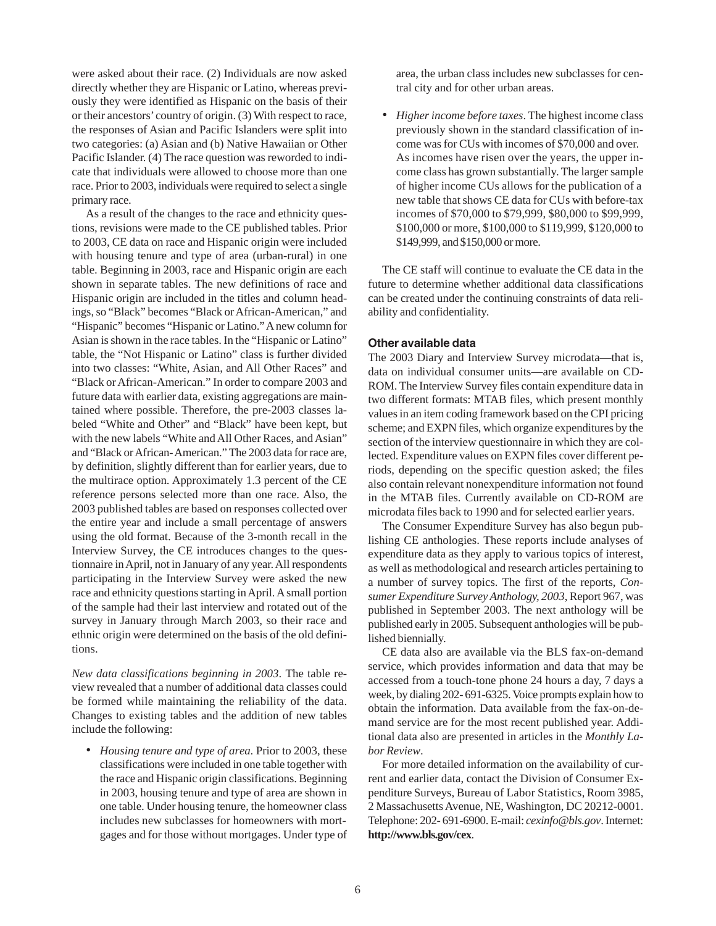were asked about their race. (2) Individuals are now asked directly whether they are Hispanic or Latino, whereas previously they were identified as Hispanic on the basis of their or their ancestors' country of origin. (3) With respect to race, the responses of Asian and Pacific Islanders were split into two categories: (a) Asian and (b) Native Hawaiian or Other Pacific Islander. (4) The race question was reworded to indicate that individuals were allowed to choose more than one race. Prior to 2003, individuals were required to select a single primary race.

As a result of the changes to the race and ethnicity questions, revisions were made to the CE published tables. Prior to 2003, CE data on race and Hispanic origin were included with housing tenure and type of area (urban-rural) in one table. Beginning in 2003, race and Hispanic origin are each shown in separate tables. The new definitions of race and Hispanic origin are included in the titles and column headings, so "Black" becomes "Black or African-American," and "Hispanic" becomes "Hispanic or Latino." A new column for Asian is shown in the race tables. In the "Hispanic or Latino" table, the "Not Hispanic or Latino" class is further divided into two classes: "White, Asian, and All Other Races" and "Black or African-American." In order to compare 2003 and future data with earlier data, existing aggregations are maintained where possible. Therefore, the pre-2003 classes labeled "White and Other" and "Black" have been kept, but with the new labels "White and All Other Races, and Asian" and "Black or African- American." The 2003 data for race are, by definition, slightly different than for earlier years, due to the multirace option. Approximately 1.3 percent of the CE reference persons selected more than one race. Also, the 2003 published tables are based on responses collected over the entire year and include a small percentage of answers using the old format. Because of the 3-month recall in the Interview Survey, the CE introduces changes to the questionnaire in April, not in January of any year. All respondents participating in the Interview Survey were asked the new race and ethnicity questions starting in April. A small portion of the sample had their last interview and rotated out of the survey in January through March 2003, so their race and ethnic origin were determined on the basis of the old definitions.

*New data classifications beginning in 2003*. The table review revealed that a number of additional data classes could be formed while maintaining the reliability of the data. Changes to existing tables and the addition of new tables include the following:

*• Housing tenure and type of area*. Prior to 2003, these classifications were included in one table together with the race and Hispanic origin classifications. Beginning in 2003, housing tenure and type of area are shown in one table. Under housing tenure, the homeowner class includes new subclasses for homeowners with mortgages and for those without mortgages. Under type of area, the urban class includes new subclasses for central city and for other urban areas.

*• Higher income before taxes*. The highest income class previously shown in the standard classification of income was for CUs with incomes of \$70,000 and over. As incomes have risen over the years, the upper income class has grown substantially. The larger sample of higher income CUs allows for the publication of a new table that shows CE data for CUs with before-tax incomes of \$70,000 to \$79,999, \$80,000 to \$99,999, \$100,000 or more, \$100,000 to \$119,999, \$120,000 to \$149,999, and \$150,000 or more.

The CE staff will continue to evaluate the CE data in the future to determine whether additional data classifications can be created under the continuing constraints of data reliability and confidentiality.

### **Other available data**

The 2003 Diary and Interview Survey microdata—that is, data on individual consumer units—are available on CD-ROM. The Interview Survey files contain expenditure data in two different formats: MTAB files, which present monthly values in an item coding framework based on the CPI pricing scheme; and EXPN files, which organize expenditures by the section of the interview questionnaire in which they are collected. Expenditure values on EXPN files cover different periods, depending on the specific question asked; the files also contain relevant nonexpenditure information not found in the MTAB files. Currently available on CD-ROM are microdata files back to 1990 and for selected earlier years.

The Consumer Expenditure Survey has also begun publishing CE anthologies. These reports include analyses of expenditure data as they apply to various topics of interest, as well as methodological and research articles pertaining to a number of survey topics. The first of the reports, *Consumer Expenditure Survey Anthology, 2003*, Report 967, was published in September 2003. The next anthology will be published early in 2005. Subsequent anthologies will be published biennially.

CE data also are available via the BLS fax-on-demand service, which provides information and data that may be accessed from a touch-tone phone 24 hours a day, 7 days a week, by dialing 202- 691-6325. Voice prompts explain how to obtain the information. Data available from the fax-on-demand service are for the most recent published year. Additional data also are presented in articles in the *Monthly Labor Review*.

For more detailed information on the availability of current and earlier data, contact the Division of Consumer Expenditure Surveys, Bureau of Labor Statistics, Room 3985, 2 Massachusetts Avenue, NE, Washington, DC 20212-0001. Telephone: 202- 691-6900. E-mail: *cexinfo@bls.gov*.Internet: **http://www.bls.gov/cex**.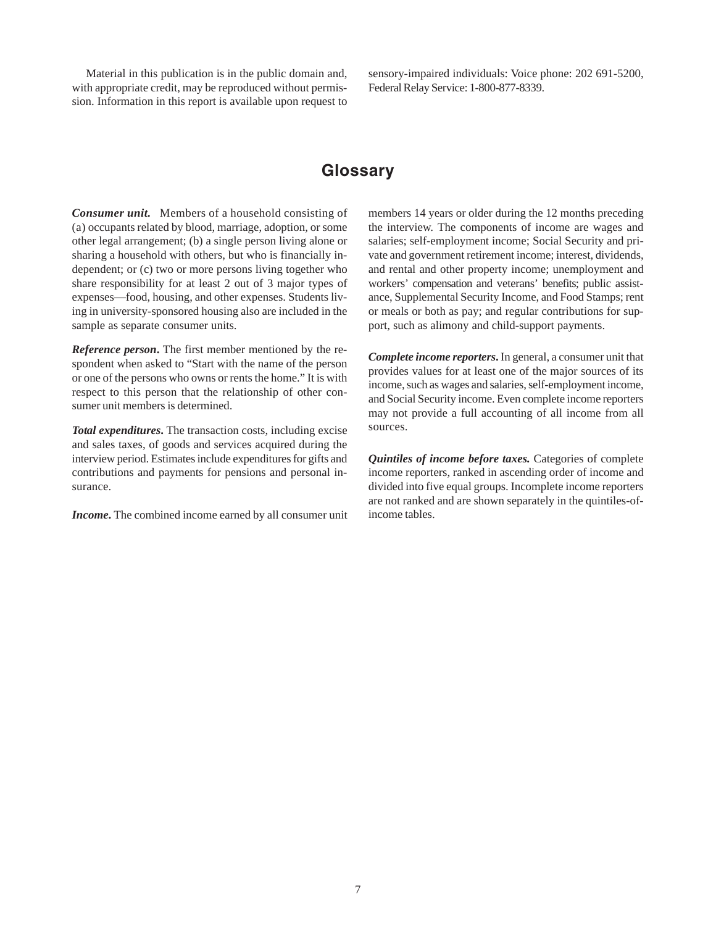Material in this publication is in the public domain and, with appropriate credit, may be reproduced without permission. Information in this report is available upon request to sensory-impaired individuals: Voice phone: 202 691-5200, Federal Relay Service: 1-800-877-8339.

## **Glossary**

*Consumer unit.* Members of a household consisting of (a) occupants related by blood, marriage, adoption, or some other legal arrangement; (b) a single person living alone or sharing a household with others, but who is financially independent; or (c) two or more persons living together who share responsibility for at least 2 out of 3 major types of expenses—food, housing, and other expenses. Students living in university-sponsored housing also are included in the sample as separate consumer units.

*Reference person***.** The first member mentioned by the respondent when asked to "Start with the name of the person or one of the persons who owns or rents the home." It is with respect to this person that the relationship of other consumer unit members is determined.

*Total expenditures***.** The transaction costs, including excise and sales taxes, of goods and services acquired during the interview period. Estimates include expenditures for gifts and contributions and payments for pensions and personal insurance.

*Income***.** The combined income earned by all consumer unit

members 14 years or older during the 12 months preceding the interview. The components of income are wages and salaries; self-employment income; Social Security and private and government retirement income; interest, dividends, and rental and other property income; unemployment and workers' compensation and veterans' benefits; public assistance, Supplemental Security Income, and Food Stamps; rent or meals or both as pay; and regular contributions for support, such as alimony and child-support payments.

*Complete income reporters***.** In general, a consumer unit that provides values for at least one of the major sources of its income, such as wages and salaries, self-employment income, and Social Security income. Even complete income reporters may not provide a full accounting of all income from all sources.

*Quintiles of income before taxes.* Categories of complete income reporters, ranked in ascending order of income and divided into five equal groups. Incomplete income reporters are not ranked and are shown separately in the quintiles-ofincome tables.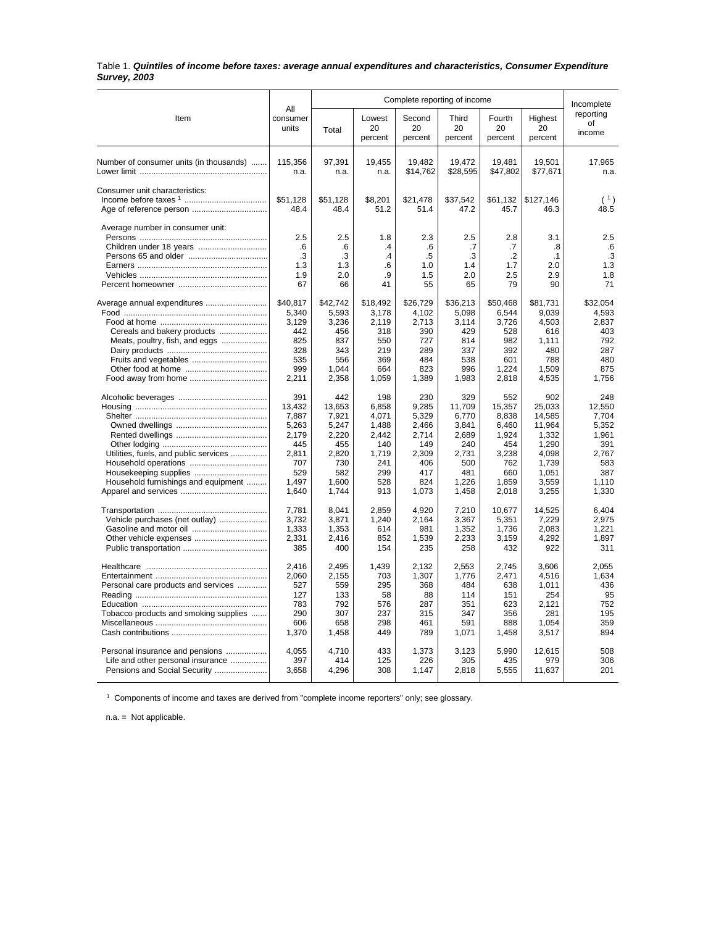#### Table 1. *Quintiles of income before taxes: average annual expenditures and characteristics, Consumer Expenditure Survey, 2003*

|                                         |                          |                   | Incomplete              |                         |                        |                         |                          |                           |
|-----------------------------------------|--------------------------|-------------------|-------------------------|-------------------------|------------------------|-------------------------|--------------------------|---------------------------|
| Item                                    | All<br>consumer<br>units | Total             | Lowest<br>20<br>percent | Second<br>20<br>percent | Third<br>20<br>percent | Fourth<br>20<br>percent | Highest<br>20<br>percent | reporting<br>of<br>income |
| Number of consumer units (in thousands) | 115,356<br>n.a.          | 97,391<br>n.a.    | 19,455<br>n.a.          | 19,482<br>\$14,762      | 19,472<br>\$28,595     | 19,481<br>\$47,802      | 19,501<br>\$77,671       | 17,965<br>n.a.            |
|                                         |                          |                   |                         |                         |                        |                         |                          |                           |
| Consumer unit characteristics:          | \$51,128                 | \$51,128          | \$8,201                 | \$21,478                | \$37,542               | \$61,132                | \$127,146                | (1)                       |
|                                         | 48.4                     | 48.4              | 51.2                    | 51.4                    | 47.2                   | 45.7                    | 46.3                     | 48.5                      |
| Average number in consumer unit:        | 2.5                      | 2.5               | 1.8                     | 2.3                     | 2.5                    | 2.8                     | 3.1                      | 2.5                       |
|                                         | .6                       | .6                | $\cdot$                 | .6                      | .7                     | .7                      | .8                       | .6                        |
|                                         | .3                       | .3                | .4                      | .5                      | .3                     | $\cdot$                 | $\cdot$ 1                | .3                        |
|                                         | 1.3                      | 1.3               | 6                       | 1.0                     | 1.4                    | 1.7                     | 2.0                      | 1.3                       |
|                                         | 1.9                      | 2.0               | .9                      | 1.5                     | 2.0                    | 2.5                     | 2.9                      | 1.8                       |
|                                         | 67                       | 66                | 41                      | 55                      | 65                     | 79                      | 90                       | 71                        |
|                                         | \$40.817<br>5,340        | \$42,742<br>5,593 | \$18,492<br>3,178       | \$26,729<br>4,102       | \$36,213<br>5.098      | \$50.468<br>6,544       | \$81,731<br>9.039        | \$32.054<br>4.593         |
|                                         | 3,129                    | 3,236             | 2,119                   | 2,713                   | 3,114                  | 3,726                   | 4,503                    | 2,837                     |
| Cereals and bakery products             | 442                      | 456               | 318                     | 390                     | 429                    | 528                     | 616                      | 403                       |
| Meats, poultry, fish, and eggs          | 825                      | 837               | 550                     | 727                     | 814                    | 982                     | 1.111                    | 792                       |
|                                         | 328                      | 343               | 219                     | 289                     | 337                    | 392                     | 480                      | 287                       |
| Fruits and vegetables                   | 535                      | 556               | 369                     | 484                     | 538                    | 601                     | 788                      | 480                       |
|                                         | 999                      | 1,044             | 664                     | 823                     | 996                    | 1,224                   | 1,509                    | 875                       |
|                                         | 2,211                    | 2,358             | 1,059                   | 1,389                   | 1,983                  | 2,818                   | 4,535                    | 1,756                     |
|                                         | 391                      | 442               | 198                     | 230                     | 329                    | 552                     | 902                      | 248                       |
|                                         | 13.432                   | 13.653            | 6.858                   | 9,285                   | 11.709                 | 15,357                  | 25.033                   | 12.550                    |
|                                         | 7,887                    | 7,921             | 4.071                   | 5,329                   | 6.770                  | 8.838                   | 14.585                   | 7.704                     |
|                                         | 5,263                    | 5,247             | 1,488                   | 2,466                   | 3,841                  | 6,460                   | 11,964                   | 5,352                     |
|                                         | 2,179                    | 2,220             | 2,442                   | 2,714                   | 2,689                  | 1,924                   | 1,332                    | 1,961                     |
|                                         | 445                      | 455               | 140                     | 149                     | 240                    | 454                     | 1,290                    | 391                       |
| Utilities, fuels, and public services   | 2,811                    | 2,820             | 1,719                   | 2,309                   | 2,731                  | 3,238                   | 4,098                    | 2.767                     |
|                                         | 707                      | 730               | 241                     | 406                     | 500                    | 762                     | 1,739                    | 583                       |
|                                         | 529                      | 582               | 299                     | 417                     | 481                    | 660                     | 1,051                    | 387                       |
| Household furnishings and equipment     | 1.497                    | 1.600             | 528<br>913              | 824                     | 1,226                  | 1,859                   | 3,559                    | 1.110                     |
|                                         | 1,640                    | 1,744             |                         | 1,073                   | 1,458                  | 2,018                   | 3,255                    | 1,330                     |
|                                         | 7,781                    | 8,041             | 2,859                   | 4,920                   | 7,210                  | 10,677                  | 14,525                   | 6,404                     |
| Vehicle purchases (net outlay)          | 3.732                    | 3.871             | 1.240                   | 2.164                   | 3.367                  | 5.351                   | 7.229                    | 2.975                     |
| Gasoline and motor oil                  | 1,333                    | 1,353             | 614                     | 981                     | 1,352                  | 1,736                   | 2,083                    | 1,221                     |
|                                         | 2,331                    | 2,416             | 852                     | 1,539                   | 2,233                  | 3,159                   | 4,292                    | 1.897                     |
|                                         | 385                      | 400               | 154                     | 235                     | 258                    | 432                     | 922                      | 311                       |
|                                         | 2.416                    | 2,495             | 1,439                   | 2,132                   | 2,553                  | 2,745                   | 3,606                    | 2,055                     |
|                                         | 2,060                    | 2,155             | 703                     | 1,307                   | 1,776                  | 2,471                   | 4,516                    | 1,634                     |
| Personal care products and services     | 527                      | 559               | 295                     | 368                     | 484                    | 638                     | 1,011                    | 436                       |
|                                         | 127                      | 133               | 58                      | 88                      | 114                    | 151                     | 254                      | 95                        |
|                                         | 783                      | 792               | 576                     | 287                     | 351                    | 623                     | 2,121                    | 752                       |
| Tobacco products and smoking supplies   | 290                      | 307               | 237                     | 315                     | 347                    | 356                     | 281                      | 195                       |
|                                         | 606                      | 658               | 298                     | 461                     | 591                    | 888                     | 1.054                    | 359                       |
|                                         | 1,370                    | 1,458             | 449                     | 789                     | 1,071                  | 1,458                   | 3,517                    | 894                       |
| Personal insurance and pensions         | 4.055                    | 4.710             | 433                     | 1,373                   | 3.123                  | 5.990                   | 12.615                   | 508                       |
| Life and other personal insurance       | 397                      | 414               | 125                     | 226                     | 305                    | 435                     | 979                      | 306                       |
| Pensions and Social Security            | 3,658                    | 4,296             | 308                     | 1,147                   | 2,818                  | 5,555                   | 11,637                   | 201                       |
|                                         |                          |                   |                         |                         |                        |                         |                          |                           |

<sup>1</sup> Components of income and taxes are derived from "complete income reporters" only; see glossary.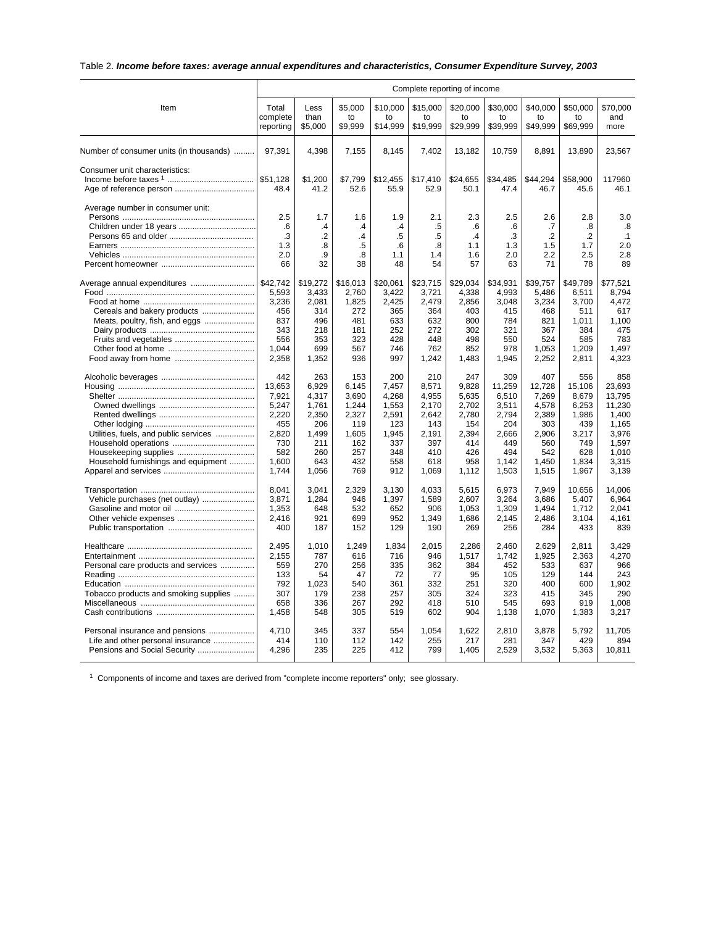## Table 2. *Income before taxes: average annual expenditures and characteristics, Consumer Expenditure Survey, 2003*

|                                         |                                | Complete reporting of income |                          |                            |                            |                            |                            |                            |                            |                         |  |
|-----------------------------------------|--------------------------------|------------------------------|--------------------------|----------------------------|----------------------------|----------------------------|----------------------------|----------------------------|----------------------------|-------------------------|--|
| Item                                    | Total<br>complete<br>reporting | Less<br>than<br>\$5,000      | \$5,000<br>to<br>\$9.999 | \$10,000<br>to<br>\$14.999 | \$15,000<br>to<br>\$19,999 | \$20,000<br>to<br>\$29,999 | \$30,000<br>to<br>\$39.999 | \$40,000<br>to<br>\$49.999 | \$50,000<br>to<br>\$69,999 | \$70,000<br>and<br>more |  |
| Number of consumer units (in thousands) | 97,391                         | 4,398                        | 7,155                    | 8,145                      | 7,402                      | 13,182                     | 10,759                     | 8,891                      | 13,890                     | 23,567                  |  |
| Consumer unit characteristics:          |                                |                              |                          |                            |                            |                            |                            |                            |                            |                         |  |
|                                         |                                | \$1,200                      | \$7,799                  | \$12,455                   | \$17,410                   | \$24,655                   | \$34,485                   | \$44,294                   | \$58,900                   | 117960                  |  |
|                                         | 48.4                           | 41.2                         | 52.6                     | 55.9                       | 52.9                       | 50.1                       | 47.4                       | 46.7                       | 45.6                       | 46.1                    |  |
| Average number in consumer unit:        | 2.5                            | 1.7                          | 1.6                      | 1.9                        | 2.1                        | 2.3                        | 2.5                        | 2.6                        | 2.8                        | 3.0                     |  |
|                                         | .6                             | $\mathcal{A}$                | $\mathcal{A}$            | $\overline{.4}$            | .5                         | .6                         | .6                         | .7                         | .8                         | .8                      |  |
|                                         | .3                             | $\cdot$                      | .4                       | .5                         | .5                         | $\mathcal{A}$              | .3                         | $\overline{2}$             | $\cdot$                    | $\cdot$ 1               |  |
|                                         | 1.3                            | $\boldsymbol{.8}$            | .5                       | .6                         | .8                         | 1.1                        | 1.3                        | 1.5                        | 1.7                        | 2.0                     |  |
|                                         |                                | .9                           |                          |                            |                            |                            |                            | 2.2                        |                            | 2.8                     |  |
|                                         | 2.0<br>66                      | 32                           | .8<br>38                 | 1.1<br>48                  | 1.4<br>54                  | 1.6                        | 2.0                        | 71                         | 2.5<br>78                  | 89                      |  |
|                                         |                                |                              |                          |                            |                            | 57                         | 63                         |                            |                            |                         |  |
| Average annual expenditures             | \$42.742                       | \$19,272                     | \$16,013                 | \$20.061                   | \$23,715                   | \$29,034                   | \$34.931                   | \$39,757                   | \$49.789                   | \$77.521                |  |
|                                         | 5,593                          | 3,433                        | 2,760                    | 3,422                      | 3,721                      | 4,338                      | 4,993                      | 5,486                      | 6,511                      | 8,794                   |  |
|                                         | 3,236                          | 2,081                        | 1,825                    | 2,425                      | 2,479                      | 2,856                      | 3,048                      | 3,234                      | 3,700                      | 4,472                   |  |
| Cereals and bakery products             | 456                            | 314                          | 272                      | 365                        | 364                        | 403                        | 415                        | 468                        | 511                        | 617                     |  |
| Meats, poultry, fish, and eggs          | 837                            | 496                          | 481                      | 633                        | 632                        | 800                        | 784                        | 821                        | 1,011                      | 1,100                   |  |
|                                         | 343                            | 218                          | 181                      | 252                        | 272                        | 302                        | 321                        | 367                        | 384                        | 475                     |  |
|                                         | 556                            | 353                          | 323                      | 428                        | 448                        | 498                        | 550                        | 524                        | 585                        | 783                     |  |
|                                         | 1.044                          | 699                          | 567                      | 746                        | 762                        | 852                        | 978                        | 1.053                      | 1.209                      | 1.497                   |  |
|                                         | 2,358                          | 1,352                        | 936                      | 997                        | 1,242                      | 1,483                      | 1,945                      | 2,252                      | 2,811                      | 4,323                   |  |
|                                         | 442                            | 263                          | 153                      | 200                        | 210                        | 247                        | 309                        | 407                        | 556                        | 858                     |  |
|                                         | 13,653                         | 6,929                        | 6,145                    | 7,457                      | 8,571                      | 9,828                      | 11,259                     | 12,728                     | 15,106                     | 23.693                  |  |
|                                         | 7,921                          | 4.317                        | 3.690                    | 4.268                      | 4.955                      | 5,635                      | 6,510                      | 7,269                      | 8.679                      | 13.795                  |  |
|                                         | 5,247                          | 1,761                        | 1,244                    | 1,553                      | 2.170                      | 2,702                      | 3,511                      | 4,578                      | 6,253                      | 11,230                  |  |
|                                         | 2,220                          | 2,350                        | 2,327                    | 2,591                      | 2,642                      | 2,780                      | 2,794                      | 2,389                      | 1,986                      | 1,400                   |  |
|                                         | 455                            | 206                          | 119                      | 123                        | 143                        | 154                        | 204                        | 303                        | 439                        | 1,165                   |  |
| Utilities, fuels, and public services   | 2,820                          | 1,499                        | 1,605                    | 1,945                      | 2,191                      | 2,394                      | 2,666                      | 2,906                      | 3,217                      | 3,976                   |  |
|                                         | 730                            | 211                          | 162                      | 337                        | 397                        | 414                        | 449                        | 560                        | 749                        | 1,597                   |  |
|                                         | 582                            | 260                          | 257                      | 348                        | 410                        | 426                        | 494                        | 542                        | 628                        | 1.010                   |  |
| Household furnishings and equipment     | 1.600                          | 643                          | 432                      | 558                        | 618                        | 958                        | 1.142                      | 1.450                      | 1.834                      | 3.315                   |  |
|                                         | 1,744                          | 1,056                        | 769                      | 912                        | 1,069                      | 1,112                      | 1,503                      | 1,515                      | 1,967                      | 3,139                   |  |
|                                         | 8,041                          | 3,041                        | 2,329                    | 3,130                      | 4,033                      | 5,615                      | 6,973                      | 7,949                      | 10,656                     | 14,006                  |  |
| Vehicle purchases (net outlay)          | 3,871                          | 1,284                        | 946                      | 1,397                      | 1,589                      | 2,607                      | 3,264                      | 3,686                      | 5,407                      | 6,964                   |  |
|                                         | 1,353                          | 648                          | 532                      | 652                        | 906                        | 1,053                      | 1,309                      | 1,494                      | 1,712                      | 2.041                   |  |
|                                         | 2.416                          | 921                          | 699                      | 952                        | 1,349                      | 1,686                      | 2.145                      | 2.486                      | 3,104                      | 4.161                   |  |
|                                         | 400                            | 187                          | 152                      | 129                        | 190                        | 269                        | 256                        | 284                        | 433                        | 839                     |  |
|                                         | 2,495                          | 1,010                        | 1,249                    | 1,834                      | 2,015                      | 2,286                      | 2,460                      | 2,629                      | 2,811                      | 3,429                   |  |
|                                         | 2,155                          | 787                          | 616                      | 716                        | 946                        | 1,517                      | 1,742                      | 1,925                      | 2,363                      | 4,270                   |  |
| Personal care products and services     | 559                            | 270                          | 256                      | 335                        | 362                        | 384                        | 452                        | 533                        | 637                        | 966                     |  |
|                                         | 133                            | 54                           | 47                       | 72                         | 77                         | 95                         | 105                        | 129                        | 144                        | 243                     |  |
|                                         | 792                            | 1,023                        | 540                      | 361                        | 332                        | 251                        | 320                        | 400                        | 600                        | 1.902                   |  |
|                                         | 307                            | 179                          | 238                      | 257                        | 305                        | 324                        | 323                        | 415                        | 345                        | 290                     |  |
| Tobacco products and smoking supplies   | 658                            | 336                          | 267                      | 292                        | 418                        | 510                        | 545                        | 693                        | 919                        | 1,008                   |  |
|                                         |                                |                              | 305                      | 519                        |                            | 904                        |                            |                            |                            |                         |  |
|                                         | 1,458                          | 548                          |                          |                            | 602                        |                            | 1,138                      | 1,070                      | 1,383                      | 3,217                   |  |
| Personal insurance and pensions         | 4,710                          | 345                          | 337                      | 554                        | 1,054                      | 1,622                      | 2,810                      | 3,878                      | 5,792                      | 11,705                  |  |
| Life and other personal insurance       | 414                            | 110                          | 112                      | 142                        | 255                        | 217                        | 281                        | 347                        | 429                        | 894                     |  |
| Pensions and Social Security            | 4,296                          | 235                          | 225                      | 412                        | 799                        | 1,405                      | 2,529                      | 3,532                      | 5,363                      | 10,811                  |  |
|                                         |                                |                              |                          |                            |                            |                            |                            |                            |                            |                         |  |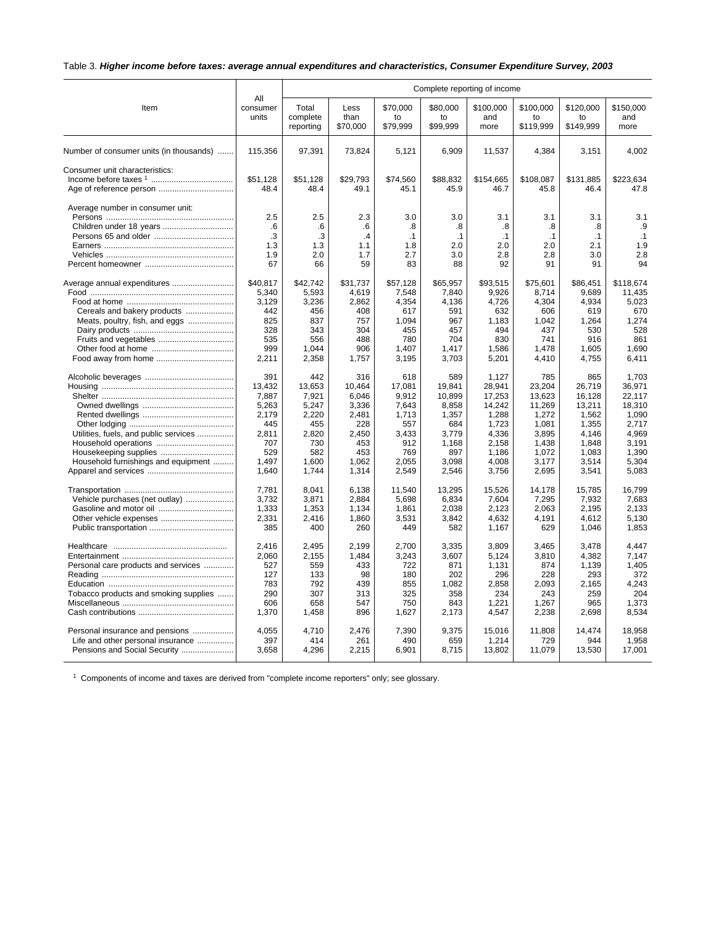## Table 3. *Higher income before taxes: average annual expenditures and characteristics, Consumer Expenditure Survey, 2003*

|                                         | All               | Complete reporting of income   |                          |                            |                            |                          |                              |                              |                          |  |
|-----------------------------------------|-------------------|--------------------------------|--------------------------|----------------------------|----------------------------|--------------------------|------------------------------|------------------------------|--------------------------|--|
| Item                                    | consumer<br>units | Total<br>complete<br>reporting | Less<br>than<br>\$70,000 | \$70.000<br>to<br>\$79,999 | \$80.000<br>to<br>\$99,999 | \$100.000<br>and<br>more | \$100.000<br>to<br>\$119,999 | \$120.000<br>to<br>\$149,999 | \$150,000<br>and<br>more |  |
| Number of consumer units (in thousands) | 115.356           | 97,391                         | 73,824                   | 5,121                      | 6.909                      | 11,537                   | 4,384                        | 3,151                        | 4,002                    |  |
| Consumer unit characteristics:          |                   |                                |                          |                            |                            |                          |                              |                              |                          |  |
|                                         | \$51,128          | \$51,128                       | \$29,793                 | \$74,560                   | \$88,832                   | \$154,665                | \$108,087                    | \$131,885                    | \$223,634                |  |
|                                         | 48.4              | 48.4                           | 49.1                     | 45.1                       | 45.9                       | 46.7                     | 45.8                         | 46.4                         | 47.8                     |  |
| Average number in consumer unit:        |                   |                                |                          |                            |                            |                          |                              |                              |                          |  |
|                                         | 2.5               | 2.5                            | 2.3                      | 3.0                        | 3.0                        | 3.1                      | 3.1                          | 3.1                          | 3.1                      |  |
|                                         | .6                | .6                             | .6                       | .8                         | .8                         | .8                       | .8                           | .8                           | .9                       |  |
|                                         | .3                | .3                             | $\cdot$                  | $\cdot$ 1                  | .1                         | $\cdot$ 1                | $\cdot$ 1                    | $\cdot$ 1                    | .1                       |  |
|                                         | 1.3               | 1.3                            | 1.1                      | 1.8                        | 2.0                        | 2.0                      | 2.0                          | 2.1                          | 1.9                      |  |
|                                         | 1.9               | 2.0                            | 1.7                      | 2.7                        | 3.0                        | 2.8                      | 2.8                          | 3.0                          | 2.8                      |  |
|                                         | 67                | 66                             | 59                       | 83                         | 88                         | 92                       | 91                           | 91                           | 94                       |  |
| Average annual expenditures             | \$40,817          | \$42,742                       | \$31,737                 | \$57,128                   | \$65,957                   | \$93,515                 | \$75,601                     | \$86,451                     | \$118,674                |  |
|                                         | 5,340             | 5,593                          | 4,619                    | 7,548                      | 7,840                      | 9,926                    | 8,714                        | 9.689                        | 11,435                   |  |
|                                         | 3,129             | 3,236                          | 2,862                    | 4,354                      | 4,136                      | 4,726                    | 4,304                        | 4,934                        | 5,023                    |  |
| Cereals and bakery products             | 442               | 456                            | 408                      | 617                        | 591                        | 632                      | 606                          | 619                          | 670                      |  |
| Meats, poultry, fish, and eggs          | 825               | 837                            | 757                      | 1,094                      | 967                        | 1,183                    | 1,042                        | 1,264                        | 1,274                    |  |
|                                         | 328               | 343                            | 304                      | 455                        | 457                        | 494                      | 437                          | 530                          | 528                      |  |
|                                         | 535               | 556                            | 488                      | 780                        | 704                        | 830                      | 741                          | 916                          | 861                      |  |
|                                         | 999               | 1,044                          | 906                      | 1,407                      | 1,417                      | 1,586                    | 1,478                        | 1,605                        | 1,690                    |  |
|                                         | 2,211             | 2,358                          | 1,757                    | 3,195                      | 3,703                      | 5,201                    | 4,410                        | 4,755                        | 6,411                    |  |
|                                         | 391               | 442                            | 316                      | 618                        | 589                        | 1,127                    | 785                          | 865                          | 1,703                    |  |
|                                         | 13,432            | 13,653                         | 10,464                   | 17,081                     | 19,841                     | 28,941                   | 23,204                       | 26,719                       | 36,971                   |  |
|                                         | 7,887             | 7,921                          | 6,046                    | 9,912                      | 10,899                     | 17,253                   | 13,623                       | 16,128                       | 22.117                   |  |
|                                         | 5,263             | 5,247                          | 3,336                    | 7,643                      | 8,858                      | 14,242                   | 11,269                       | 13,211                       | 18,310                   |  |
|                                         | 2,179             | 2,220                          | 2,481                    | 1,713                      | 1,357                      | 1,288                    | 1,272                        | 1,562                        | 1,090                    |  |
|                                         | 445               | 455                            | 228                      | 557                        | 684                        | 1,723                    | 1,081                        | 1,355                        | 2.717                    |  |
| Utilities, fuels, and public services   | 2.811             | 2.820                          | 2.450                    | 3.433                      | 3.779                      | 4,336                    | 3.895                        | 4.146                        | 4.969                    |  |
|                                         | 707               | 730                            | 453                      | 912                        | 1,168                      | 2,158                    | 1,438                        | 1,848                        | 3,191                    |  |
|                                         | 529               | 582                            | 453                      | 769                        | 897                        | 1,186                    | 1,072                        | 1,083                        | 1,390                    |  |
| Household furnishings and equipment     | 1,497             | 1,600                          | 1,062                    | 2,055                      | 3,098                      | 4,008                    | 3,177                        | 3,514                        | 5,304                    |  |
|                                         | 1,640             | 1,744                          | 1,314                    | 2,549                      | 2,546                      | 3,756                    | 2,695                        | 3,541                        | 5,083                    |  |
|                                         | 7,781             | 8.041                          | 6,138                    | 11,540                     | 13,295                     | 15,526                   | 14.178                       | 15,785                       | 16.799                   |  |
| Vehicle purchases (net outlay)          | 3.732             | 3.871                          | 2.884                    | 5.698                      | 6.834                      | 7.604                    | 7.295                        | 7.932                        | 7.683                    |  |
|                                         | 1,333             | 1,353                          | 1,134                    | 1,861                      | 2,038                      | 2,123                    | 2,063                        | 2,195                        | 2,133                    |  |
|                                         | 2,331             | 2,416                          | 1,860                    | 3,531                      | 3,842                      | 4,632                    | 4,191                        | 4,612                        | 5,130                    |  |
|                                         | 385               | 400                            | 260                      | 449                        | 582                        | 1,167                    | 629                          | 1,046                        | 1,853                    |  |
|                                         | 2.416             | 2.495                          | 2.199                    | 2.700                      | 3.335                      | 3.809                    | 3.465                        | 3.478                        | 4.447                    |  |
|                                         | 2,060             | 2,155                          | 1,484                    | 3,243                      | 3,607                      | 5,124                    | 3,810                        | 4,382                        | 7.147                    |  |
| Personal care products and services     | 527               | 559                            | 433                      | 722                        | 871                        | 1,131                    | 874                          | 1,139                        | 1.405                    |  |
|                                         | 127               | 133                            | 98                       | 180                        | 202                        | 296                      | 228                          | 293                          | 372                      |  |
|                                         | 783               | 792                            | 439                      | 855                        | 1,082                      | 2,858                    | 2,093                        | 2,165                        | 4,243                    |  |
| Tobacco products and smoking supplies   | 290               | 307                            | 313                      | 325                        | 358                        | 234                      | 243                          | 259                          | 204                      |  |
|                                         | 606               | 658                            | 547                      | 750                        | 843                        | 1,221                    | 1,267                        | 965                          | 1.373                    |  |
|                                         | 1,370             | 1,458                          | 896                      | 1,627                      | 2,173                      | 4,547                    | 2,238                        | 2,698                        | 8,534                    |  |
| Personal insurance and pensions         | 4,055             | 4,710                          | 2,476                    | 7,390                      | 9,375                      | 15,016                   | 11,808                       | 14,474                       | 18,958                   |  |
| Life and other personal insurance       | 397               | 414                            | 261                      | 490                        | 659                        | 1,214                    | 729                          | 944                          | 1,958                    |  |
| Pensions and Social Security            | 3,658             | 4,296                          | 2,215                    | 6,901                      | 8,715                      | 13,802                   | 11,079                       | 13,530                       | 17,001                   |  |
|                                         |                   |                                |                          |                            |                            |                          |                              |                              |                          |  |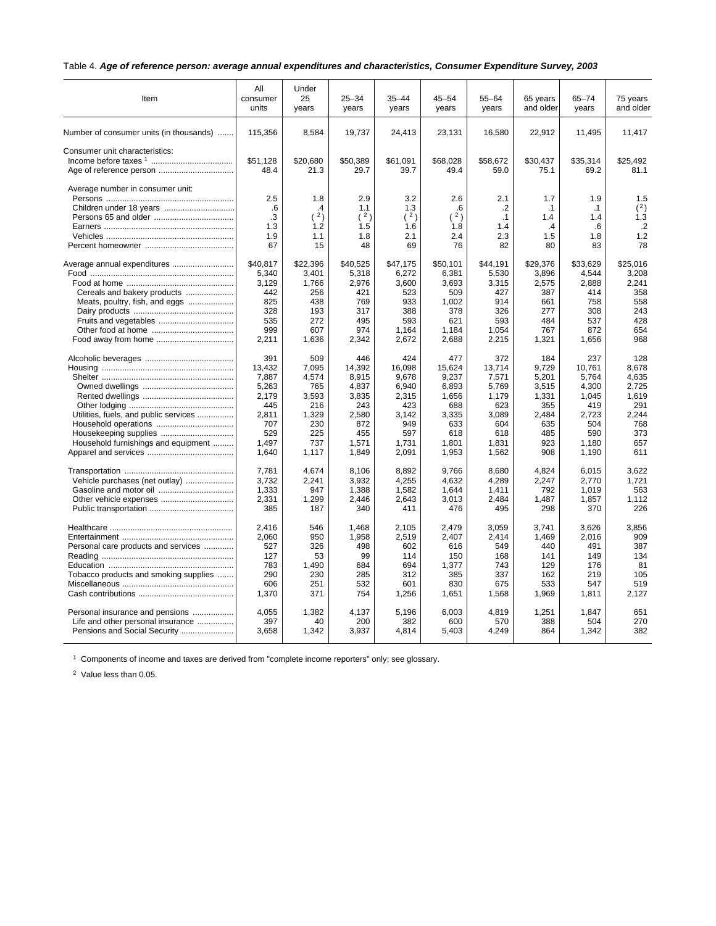## Table 4. *Age of reference person: average annual expenditures and characteristics, Consumer Expenditure Survey, 2003*

| Item                                                        | All<br>consumer<br>units            | Under<br>25<br>years                            | $25 - 34$<br>years                    | $35 - 44$<br>years                    | $45 - 54$<br>years                   | $55 - 64$<br>years                         | 65 years<br>and older                                 | $65 - 74$<br>years                         | 75 years<br>and older                     |
|-------------------------------------------------------------|-------------------------------------|-------------------------------------------------|---------------------------------------|---------------------------------------|--------------------------------------|--------------------------------------------|-------------------------------------------------------|--------------------------------------------|-------------------------------------------|
| Number of consumer units (in thousands)                     | 115,356                             | 8,584                                           | 19,737                                | 24,413                                | 23,131                               | 16,580                                     | 22,912                                                | 11,495                                     | 11,417                                    |
| Consumer unit characteristics:                              | \$51.128<br>48.4                    | \$20.680<br>21.3                                | \$50,389<br>29.7                      | \$61.091<br>39.7                      | \$68.028<br>49.4                     | \$58.672<br>59.0                           | \$30.437<br>75.1                                      | \$35.314<br>69.2                           | \$25.492<br>81.1                          |
| Average number in consumer unit:<br>Children under 18 years | 2.5<br>.6<br>.3<br>1.3<br>1.9<br>67 | 1.8<br>$\mathcal{A}$<br>(2)<br>1.2<br>1.1<br>15 | 2.9<br>1.1<br>(2)<br>1.5<br>1.8<br>48 | 3.2<br>1.3<br>(2)<br>1.6<br>2.1<br>69 | 2.6<br>.6<br>(2)<br>1.8<br>2.4<br>76 | 2.1<br>.2<br>$\cdot$ 1<br>1.4<br>2.3<br>82 | 1.7<br>$\cdot$ 1<br>1.4<br>$\mathcal{A}$<br>1.5<br>80 | 1.9<br>$\cdot$ 1<br>1.4<br>.6<br>1.8<br>83 | 1.5<br>(2)<br>1.3<br>$\cdot$<br>1.2<br>78 |
| Average annual expenditures                                 | \$40,817                            | \$22,396                                        | \$40,525                              | \$47,175                              | \$50,101                             | \$44,191                                   | \$29,376                                              | \$33,629                                   | \$25,016                                  |
|                                                             | 5,340                               | 3,401                                           | 5,318                                 | 6,272                                 | 6,381                                | 5,530                                      | 3,896                                                 | 4,544                                      | 3,208                                     |
|                                                             | 3,129                               | 1,766                                           | 2,976                                 | 3,600                                 | 3,693                                | 3,315                                      | 2,575                                                 | 2,888                                      | 2,241                                     |
| Cereals and bakery products                                 | 442                                 | 256                                             | 421                                   | 523                                   | 509                                  | 427                                        | 387                                                   | 414                                        | 358                                       |
| Meats, poultry, fish, and eggs                              | 825                                 | 438                                             | 769                                   | 933                                   | 1,002                                | 914                                        | 661                                                   | 758                                        | 558                                       |
|                                                             | 328                                 | 193                                             | 317                                   | 388                                   | 378                                  | 326                                        | 277                                                   | 308                                        | 243                                       |
|                                                             | 535                                 | 272                                             | 495                                   | 593                                   | 621                                  | 593                                        | 484                                                   | 537                                        | 428                                       |
|                                                             | 999                                 | 607                                             | 974                                   | 1,164                                 | 1,184                                | 1,054                                      | 767                                                   | 872                                        | 654                                       |
|                                                             | 2,211                               | 1,636                                           | 2,342                                 | 2,672                                 | 2,688                                | 2,215                                      | 1,321                                                 | 1,656                                      | 968                                       |
|                                                             | 391                                 | 509                                             | 446                                   | 424                                   | 477                                  | 372                                        | 184                                                   | 237                                        | 128                                       |
|                                                             | 13,432                              | 7,095                                           | 14,392                                | 16,098                                | 15,624                               | 13,714                                     | 9,729                                                 | 10,761                                     | 8,678                                     |
|                                                             | 7,887                               | 4,574                                           | 8,915                                 | 9,678                                 | 9,237                                | 7,571                                      | 5,201                                                 | 5,764                                      | 4.635                                     |
|                                                             | 5,263                               | 765                                             | 4,837                                 | 6,940                                 | 6,893                                | 5,769                                      | 3,515                                                 | 4,300                                      | 2,725                                     |
|                                                             | 2.179                               | 3,593                                           | 3,835                                 | 2,315                                 | 1,656                                | 1,179                                      | 1,331                                                 | 1.045                                      | 1,619                                     |
|                                                             | 445                                 | 216                                             | 243                                   | 423                                   | 688                                  | 623                                        | 355                                                   | 419                                        | 291                                       |
| Utilities, fuels, and public services                       | 2,811                               | 1,329                                           | 2,580                                 | 3,142                                 | 3,335                                | 3,089                                      | 2,484                                                 | 2,723                                      | 2,244                                     |
|                                                             | 707                                 | 230                                             | 872                                   | 949                                   | 633                                  | 604                                        | 635                                                   | 504                                        | 768                                       |
|                                                             | 529                                 | 225                                             | 455                                   | 597                                   | 618                                  | 618                                        | 485                                                   | 590                                        | 373                                       |
| Household furnishings and equipment                         | 1.497                               | 737                                             | 1.571                                 | 1.731                                 | 1.801                                | 1.831                                      | 923                                                   | 1.180                                      | 657                                       |
|                                                             | 1,640                               | 1,117                                           | 1,849                                 | 2,091                                 | 1,953                                | 1,562                                      | 908                                                   | 1,190                                      | 611                                       |
|                                                             | 7,781                               | 4.674                                           | 8.106                                 | 8,892                                 | 9.766                                | 8,680                                      | 4.824                                                 | 6.015                                      | 3,622                                     |
| Vehicle purchases (net outlay)                              | 3,732                               | 2.241                                           | 3,932                                 | 4,255                                 | 4,632                                | 4.289                                      | 2.247                                                 | 2.770                                      | 1.721                                     |
|                                                             | 1,333                               | 947                                             | 1,388                                 | 1,582                                 | 1.644                                | 1.411                                      | 792                                                   | 1.019                                      | 563                                       |
|                                                             | 2,331                               | 1.299                                           | 2.446                                 | 2.643                                 | 3.013                                | 2.484                                      | 1,487                                                 | 1,857                                      | 1,112                                     |
|                                                             | 385                                 | 187                                             | 340                                   | 411                                   | 476                                  | 495                                        | 298                                                   | 370                                        | 226                                       |
|                                                             | 2,416                               | 546                                             | 1,468                                 | 2,105                                 | 2,479                                | 3,059                                      | 3,741                                                 | 3,626                                      | 3,856                                     |
|                                                             | 2,060                               | 950                                             | 1.958                                 | 2,519                                 | 2.407                                | 2,414                                      | 1,469                                                 | 2,016                                      | 909                                       |
| Personal care products and services                         | 527                                 | 326                                             | 498                                   | 602                                   | 616                                  | 549                                        | 440                                                   | 491                                        | 387                                       |
|                                                             | 127                                 | 53                                              | 99                                    | 114                                   | 150                                  | 168                                        | 141                                                   | 149                                        | 134                                       |
|                                                             | 783                                 | 1,490                                           | 684                                   | 694                                   | 1,377                                | 743                                        | 129                                                   | 176                                        | 81                                        |
| Tobacco products and smoking supplies                       | 290                                 | 230                                             | 285                                   | 312                                   | 385                                  | 337                                        | 162                                                   | 219                                        | 105                                       |
|                                                             | 606                                 | 251                                             | 532                                   | 601                                   | 830                                  | 675                                        | 533                                                   | 547                                        | 519                                       |
|                                                             | 1,370                               | 371                                             | 754                                   | 1,256                                 | 1,651                                | 1,568                                      | 1,969                                                 | 1,811                                      | 2,127                                     |
| Personal insurance and pensions                             | 4,055                               | 1,382                                           | 4,137                                 | 5,196                                 | 6,003                                | 4,819                                      | 1,251                                                 | 1,847                                      | 651                                       |
| Life and other personal insurance                           | 397                                 | 40                                              | 200                                   | 382                                   | 600                                  | 570                                        | 388                                                   | 504                                        | 270                                       |
|                                                             | 3,658                               | 1,342                                           | 3,937                                 | 4,814                                 | 5,403                                | 4,249                                      | 864                                                   | 1,342                                      | 382                                       |

<sup>1</sup> Components of income and taxes are derived from "complete income reporters" only; see glossary.

<sup>2</sup> Value less than 0.05.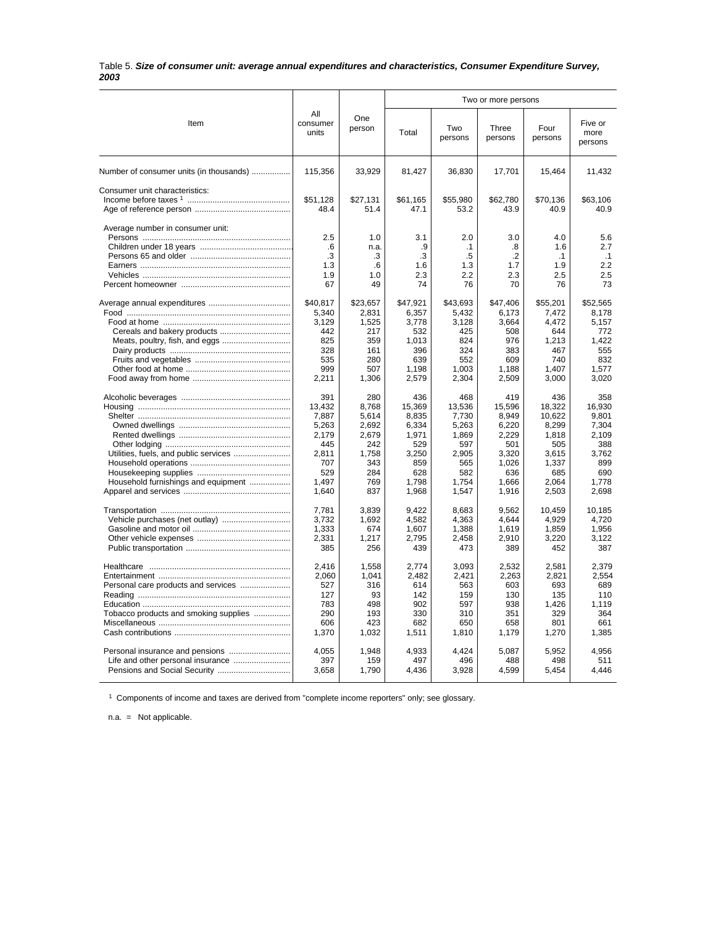#### Table 5. *Size of consumer unit: average annual expenditures and characteristics, Consumer Expenditure Survey, 2003*

|                                         |                                     |                                      |                                     |                                            | Two or more persons                      |                                             |                                             |
|-----------------------------------------|-------------------------------------|--------------------------------------|-------------------------------------|--------------------------------------------|------------------------------------------|---------------------------------------------|---------------------------------------------|
| Item                                    | All<br>consumer<br>units            | One<br>person                        | Total                               | Two<br>persons                             | Three<br>persons                         | Four<br>persons                             | Five or<br>more<br>persons                  |
| Number of consumer units (in thousands) | 115,356                             | 33,929                               | 81,427                              | 36,830                                     | 17,701                                   | 15,464                                      | 11,432                                      |
| Consumer unit characteristics:          | \$51,128<br>48.4                    | \$27,131<br>51.4                     | \$61,165<br>47.1                    | \$55,980<br>53.2                           | \$62,780<br>43.9                         | \$70,136<br>40.9                            | \$63,106<br>40.9                            |
| Average number in consumer unit:        | 2.5<br>.6<br>.3<br>1.3<br>1.9<br>67 | 1.0<br>n.a.<br>.3<br>.6<br>1.0<br>49 | 3.1<br>.9<br>.3<br>1.6<br>2.3<br>74 | 2.0<br>$\cdot$ 1<br>.5<br>1.3<br>2.2<br>76 | 3.0<br>.8<br>$\cdot$<br>1.7<br>2.3<br>70 | 4.0<br>1.6<br>$\cdot$ 1<br>1.9<br>2.5<br>76 | 5.6<br>2.7<br>$\cdot$ 1<br>2.2<br>2.5<br>73 |
|                                         | \$40,817                            | \$23,657                             | \$47,921                            | \$43,693                                   | \$47,406                                 | \$55,201                                    | \$52,565                                    |
|                                         | 5.340                               | 2.831                                | 6,357                               | 5.432                                      | 6.173                                    | 7,472                                       | 8.178                                       |
|                                         | 3,129                               | 1,525                                | 3,778                               | 3,128                                      | 3,664                                    | 4,472                                       | 5,157                                       |
|                                         | 442                                 | 217                                  | 532                                 | 425                                        | 508                                      | 644                                         | 772                                         |
|                                         | 825                                 | 359                                  | 1,013                               | 824                                        | 976                                      | 1,213                                       | 1.422                                       |
|                                         | 328                                 | 161                                  | 396                                 | 324                                        | 383                                      | 467                                         | 555                                         |
|                                         | 535                                 | 280                                  | 639                                 | 552                                        | 609                                      | 740                                         | 832                                         |
|                                         | 999                                 | 507                                  | 1,198                               | 1,003                                      | 1,188                                    | 1,407                                       | 1,577                                       |
|                                         | 2,211                               | 1,306                                | 2,579                               | 2,304                                      | 2,509                                    | 3,000                                       | 3,020                                       |
|                                         | 391                                 | 280                                  | 436                                 | 468                                        | 419                                      | 436                                         | 358                                         |
|                                         | 13,432                              | 8,768                                | 15,369                              | 13,536                                     | 15,596                                   | 18,322                                      | 16,930                                      |
|                                         | 7,887                               | 5,614                                | 8,835                               | 7,730                                      | 8,949                                    | 10,622                                      | 9.801                                       |
|                                         | 5,263                               | 2,692                                | 6,334                               | 5,263                                      | 6,220                                    | 8,299                                       | 7,304                                       |
|                                         | 2.179                               | 2.679                                | 1.971                               | 1.869                                      | 2.229                                    | 1.818                                       | 2.109                                       |
|                                         | 445                                 | 242                                  | 529                                 | 597                                        | 501                                      | 505                                         | 388                                         |
|                                         | 2,811                               | 1,758                                | 3,250                               | 2,905                                      | 3,320                                    | 3,615                                       | 3,762                                       |
|                                         | 707                                 | 343                                  | 859                                 | 565                                        | 1,026                                    | 1,337                                       | 899                                         |
|                                         | 529                                 | 284                                  | 628                                 | 582                                        | 636                                      | 685                                         | 690                                         |
| Household furnishings and equipment     | 1,497                               | 769                                  | 1,798                               | 1,754                                      | 1,666                                    | 2,064                                       | 1,778                                       |
|                                         | 1,640                               | 837                                  | 1,968                               | 1,547                                      | 1,916                                    | 2,503                                       | 2,698                                       |
|                                         | 7,781                               | 3,839                                | 9,422                               | 8,683                                      | 9,562                                    | 10,459                                      | 10,185                                      |
|                                         | 3,732                               | 1,692                                | 4,582                               | 4,363                                      | 4,644                                    | 4,929                                       | 4,720                                       |
|                                         | 1,333                               | 674                                  | 1,607                               | 1,388                                      | 1,619                                    | 1,859                                       | 1,956                                       |
|                                         | 2,331                               | 1.217                                | 2.795                               | 2.458                                      | 2.910                                    | 3.220                                       | 3.122                                       |
|                                         | 385                                 | 256                                  | 439                                 | 473                                        | 389                                      | 452                                         | 387                                         |
|                                         | 2,416                               | 1,558                                | 2,774                               | 3,093                                      | 2,532                                    | 2,581                                       | 2,379                                       |
|                                         | 2,060                               | 1.041                                | 2.482                               | 2,421                                      | 2,263                                    | 2,821                                       | 2.554                                       |
|                                         | 527                                 | 316                                  | 614                                 | 563                                        | 603                                      | 693                                         | 689                                         |
|                                         | 127                                 | 93                                   | 142                                 | 159                                        | 130                                      | 135                                         | 110                                         |
|                                         | 783                                 | 498                                  | 902                                 | 597                                        | 938                                      | 1,426                                       | 1,119                                       |
| Tobacco products and smoking supplies   | 290                                 | 193                                  | 330                                 | 310                                        | 351                                      | 329                                         | 364                                         |
|                                         | 606                                 | 423                                  | 682                                 | 650                                        | 658                                      | 801                                         | 661                                         |
|                                         | 1,370                               | 1,032                                | 1,511                               | 1,810                                      | 1,179                                    | 1,270                                       | 1,385                                       |
|                                         | 4.055                               | 1.948                                | 4.933                               | 4.424                                      | 5.087                                    | 5.952                                       | 4.956                                       |
|                                         | 397                                 | 159                                  | 497                                 | 496                                        | 488                                      | 498                                         | 511                                         |
| Pensions and Social Security            | 3,658                               | 1,790                                | 4,436                               | 3,928                                      | 4,599                                    | 5,454                                       | 4,446                                       |

<sup>1</sup> Components of income and taxes are derived from "complete income reporters" only; see glossary.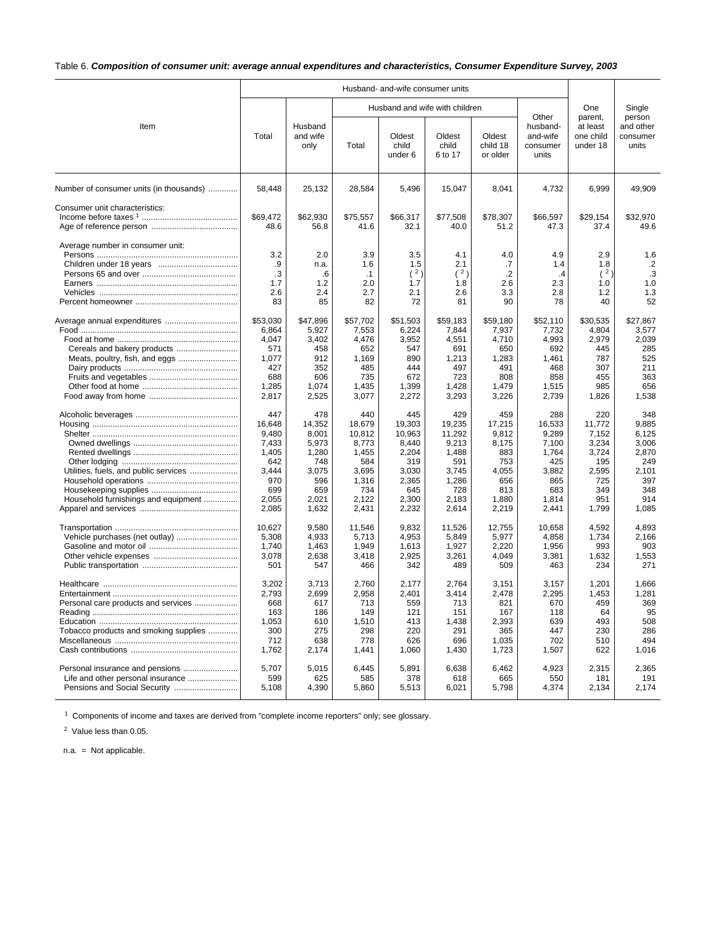## Table 6. *Composition of consumer unit: average annual expenditures and characteristics, Consumer Expenditure Survey, 2003*

|                                         |                |                             |                | Husband- and-wife consumer units |                                |                                |                                                    |                                              |                                          |
|-----------------------------------------|----------------|-----------------------------|----------------|----------------------------------|--------------------------------|--------------------------------|----------------------------------------------------|----------------------------------------------|------------------------------------------|
|                                         |                |                             |                |                                  | Husband and wife with children |                                |                                                    | One                                          | Single                                   |
| Item                                    | Total          | Husband<br>and wife<br>only | Total          | Oldest<br>child<br>under 6       | Oldest<br>child<br>6 to 17     | Oldest<br>child 18<br>or older | Other<br>husband-<br>and-wife<br>consumer<br>units | parent,<br>at least<br>one child<br>under 18 | person<br>and other<br>consumer<br>units |
| Number of consumer units (in thousands) | 58,448         | 25,132                      | 28,584         | 5,496                            | 15,047                         | 8,041                          | 4,732                                              | 6,999                                        | 49,909                                   |
| Consumer unit characteristics:          |                |                             |                |                                  |                                |                                |                                                    |                                              |                                          |
|                                         | \$69,472       | \$62,930                    | \$75,557       | \$66,317                         | \$77,508                       | \$78,307                       | \$66,597                                           | \$29,154                                     | \$32,970                                 |
|                                         | 48.6           | 56.8                        | 41.6           | 32.1                             | 40.0                           | 51.2                           | 47.3                                               | 37.4                                         | 49.6                                     |
| Average number in consumer unit:        | 3.2            | 2.0                         | 3.9            | 3.5                              | 4.1                            | 4.0                            | 4.9                                                | 2.9                                          | 1.6                                      |
|                                         | .9             | n.a.                        | 1.6            | 1.5                              | 2.1                            | .7                             | 1.4                                                | 1.8                                          | $\cdot$                                  |
|                                         | .3             | .6                          | $\cdot$ 1      | (2)                              | (2)                            | $\cdot$                        | $\cdot$                                            | (2)                                          | .3                                       |
|                                         | 1.7            | 1.2                         | 2.0            | 1.7                              | 1.8                            | 2.6                            | 2.3                                                | 1.0                                          | 1.0                                      |
|                                         | 2.6            | 2.4                         | 2.7            | 2.1                              | 2.6                            | 3.3                            | 2.8                                                | 1.2                                          | 1.3                                      |
|                                         | 83             | 85                          | 82             | 72                               | 81                             | 90                             | 78                                                 | 40                                           | 52                                       |
| Average annual expenditures             | \$53,030       | \$47,896                    | \$57,702       | \$51,503                         | \$59,183                       | \$59,180                       | \$52,110                                           | \$30,535                                     | \$27,867                                 |
|                                         | 6,864          | 5,927                       | 7,553          | 6,224                            | 7,844                          | 7,937                          | 7,732                                              | 4,804                                        | 3,577                                    |
|                                         | 4,047          | 3,402                       | 4,476          | 3,952                            | 4,551                          | 4,710                          | 4,993                                              | 2,979                                        | 2,039                                    |
|                                         | 571            | 458                         | 652            | 547                              | 691                            | 650                            | 692                                                | 445                                          | 285                                      |
|                                         | 1,077          | 912                         | 1,169          | 890                              | 1,213                          | 1,283                          | 1,461                                              | 787                                          | 525                                      |
|                                         | 427<br>688     | 352<br>606                  | 485<br>735     | 444<br>672                       | 497<br>723                     | 491<br>808                     | 468<br>858                                         | 307<br>455                                   | 211<br>363                               |
|                                         | 1,285          | 1,074                       | 1,435          | 1,399                            | 1,428                          | 1,479                          | 1,515                                              | 985                                          | 656                                      |
|                                         | 2,817          | 2,525                       | 3,077          | 2,272                            | 3,293                          | 3,226                          | 2,739                                              | 1,826                                        | 1,538                                    |
|                                         | 447            | 478                         | 440            | 445                              | 429                            | 459                            | 288                                                | 220                                          | 348                                      |
|                                         | 16,648         | 14,352                      | 18,679         | 19,303                           | 19,235                         | 17,215                         | 16,533                                             | 11,772                                       | 9,885                                    |
|                                         | 9,480          | 8,001                       | 10,812         | 10,963                           | 11,292                         | 9,812                          | 9,289                                              | 7,152                                        | 6,125                                    |
|                                         | 7,433          | 5,973                       | 8,773          | 8,440                            | 9,213                          | 8,175                          | 7,100                                              | 3,234                                        | 3,006                                    |
|                                         | 1,405          | 1,280                       | 1,455          | 2,204                            | 1,488                          | 883                            | 1,764                                              | 3,724                                        | 2,870                                    |
|                                         | 642            | 748                         | 584            | 319                              | 591                            | 753                            | 425                                                | 195                                          | 249                                      |
| Utilities, fuels, and public services   | 3,444          | 3,075                       | 3,695          | 3,030                            | 3,745                          | 4,055                          | 3,882                                              | 2,595                                        | 2,101                                    |
|                                         | 970            | 596                         | 1,316          | 2,365                            | 1,286                          | 656                            | 865                                                | 725                                          | 397                                      |
|                                         | 699            | 659                         | 734            | 645                              | 728                            | 813                            | 683                                                | 349                                          | 348                                      |
| Household furnishings and equipment     | 2,055<br>2,085 | 2,021<br>1,632              | 2,122<br>2,431 | 2,300<br>2,232                   | 2,183<br>2,614                 | 1,880<br>2,219                 | 1,814<br>2,441                                     | 951<br>1,799                                 | 914<br>1,085                             |
|                                         |                |                             |                |                                  |                                |                                |                                                    |                                              |                                          |
|                                         | 10,627         | 9,580                       | 11,546         | 9,832                            | 11,526                         | 12,755                         | 10,658                                             | 4,592                                        | 4,893                                    |
|                                         | 5,308          | 4,933                       | 5,713          | 4,953                            | 5,849                          | 5,977                          | 4,858                                              | 1,734                                        | 2,166                                    |
|                                         | 1,740          | 1,463                       | 1,949          | 1,613                            | 1,927                          | 2,220                          | 1,956                                              | 993                                          | 903                                      |
|                                         | 3,078<br>501   | 2,638<br>547                | 3,418<br>466   | 2,925<br>342                     | 3,261<br>489                   | 4,049<br>509                   | 3,381<br>463                                       | 1,632<br>234                                 | 1,553<br>271                             |
|                                         |                |                             |                |                                  |                                |                                |                                                    |                                              |                                          |
|                                         | 3,202          | 3,713                       | 2,760          | 2,177                            | 2,764                          | 3,151                          | 3,157                                              | 1,201                                        | 1,666                                    |
|                                         | 2,793          | 2,699                       | 2,958          | 2,401                            | 3,414                          | 2,478                          | 2,295                                              | 1,453                                        | 1,281                                    |
| Personal care products and services     | 668<br>163     | 617<br>186                  | 713<br>149     | 559<br>121                       | 713<br>151                     | 821<br>167                     | 670<br>118                                         | 459<br>64                                    | 369<br>95                                |
|                                         | 1,053          | 610                         | 1,510          | 413                              | 1,438                          | 2,393                          | 639                                                | 493                                          | 508                                      |
| Tobacco products and smoking supplies   | 300            | 275                         | 298            | 220                              | 291                            | 365                            | 447                                                | 230                                          | 286                                      |
|                                         | 712            | 638                         | 778            | 626                              | 696                            | 1,035                          | 702                                                | 510                                          | 494                                      |
|                                         | 1,762          | 2,174                       | 1,441          | 1,060                            | 1,430                          | 1,723                          | 1,507                                              | 622                                          | 1,016                                    |
| Personal insurance and pensions         | 5,707          | 5,015                       | 6,445          | 5,891                            | 6,638                          | 6,462                          | 4,923                                              | 2,315                                        | 2,365                                    |
| Life and other personal insurance       | 599            | 625                         | 585            | 378                              | 618                            | 665                            | 550                                                | 181                                          | 191                                      |
|                                         | 5,108          | 4,390                       | 5,860          | 5,513                            | 6,021                          | 5,798                          | 4,374                                              | 2,134                                        | 2,174                                    |
|                                         |                |                             |                |                                  |                                |                                |                                                    |                                              |                                          |

<sup>1</sup> Components of income and taxes are derived from "complete income reporters" only; see glossary.

<sup>2</sup> Value less than 0.05.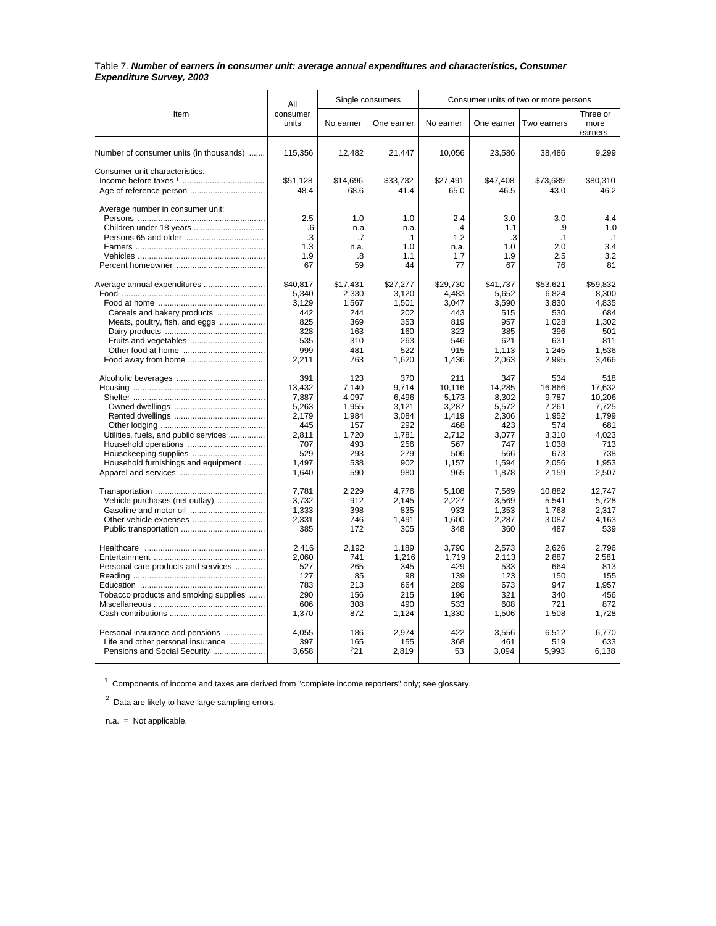#### Table 7. *Number of earners in consumer unit: average annual expenditures and characteristics, Consumer Expenditure Survey, 2003*

|                                         | All               |              | Single consumers |               |                | Consumer units of two or more persons |                             |
|-----------------------------------------|-------------------|--------------|------------------|---------------|----------------|---------------------------------------|-----------------------------|
| Item                                    | consumer<br>units | No earner    | One earner       | No earner     | One earner     | Two earners                           | Three or<br>more<br>earners |
| Number of consumer units (in thousands) | 115,356           | 12,482       | 21,447           | 10,056        | 23,586         | 38,486                                | 9,299                       |
| Consumer unit characteristics:          |                   |              |                  |               |                |                                       |                             |
|                                         | \$51.128          | \$14,696     | \$33,732         | \$27.491      | \$47,408       | \$73.689                              | \$80.310                    |
|                                         | 48.4              | 68.6         | 41.4             | 65.0          | 46.5           | 43.0                                  | 46.2                        |
| Average number in consumer unit:        | 2.5               | 1.0          | 1.0              | 2.4           | 3.0            | 3.0                                   | 4.4                         |
|                                         | .6                | n.a.         | n.a.             | $\mathcal{A}$ | 1.1            | .9                                    | 1.0                         |
|                                         | $\cdot$ 3         | .7           | $\cdot$ 1        | 1.2           | .3             | .1                                    | .1                          |
|                                         | 1.3               | n.a.         | 1.0              | n.a.          | 1.0            | 2.0                                   | 3.4                         |
|                                         | 1.9               | .8           | 1.1              | 1.7           | 1.9            | 2.5                                   | 3.2                         |
|                                         | 67                | 59           | 44               | 77            | 67             | 76                                    | 81                          |
| Average annual expenditures             | \$40,817          | \$17,431     | \$27,277         | \$29,730      | \$41,737       | \$53,621                              | \$59,832                    |
|                                         | 5,340             | 2,330        | 3,120            | 4.483         | 5,652          | 6,824                                 | 8.300                       |
| Cereals and bakery products             | 3,129<br>442      | 1,567<br>244 | 1,501<br>202     | 3,047<br>443  | 3,590<br>515   | 3,830<br>530                          | 4,835<br>684                |
| Meats, poultry, fish, and eggs          | 825               | 369          | 353              | 819           | 957            | 1,028                                 | 1,302                       |
|                                         | 328               | 163          | 160              | 323           | 385            | 396                                   | 501                         |
| Fruits and vegetables                   | 535               | 310          | 263              | 546           | 621            | 631                                   | 811                         |
|                                         | 999               | 481          | 522              | 915           | 1,113          | 1,245                                 | 1,536                       |
|                                         | 2,211             | 763          | 1,620            | 1,436         | 2,063          | 2,995                                 | 3,466                       |
|                                         | 391               | 123          | 370              | 211           | 347            | 534                                   | 518                         |
|                                         | 13,432            | 7,140        | 9,714            | 10.116        | 14,285         | 16,866                                | 17,632                      |
|                                         | 7,887             | 4,097        | 6.496            | 5,173         | 8,302          | 9,787                                 | 10,206                      |
|                                         | 5,263             | 1,955        | 3,121            | 3,287         | 5,572          | 7,261                                 | 7.725                       |
|                                         | 2.179             | 1,984        | 3,084            | 1,419         | 2,306          | 1,952                                 | 1.799                       |
|                                         | 445               | 157          | 292              | 468           | 423            | 574                                   | 681                         |
| Utilities, fuels, and public services   | 2.811             | 1,720        | 1,781            | 2,712         | 3.077          | 3.310                                 | 4.023                       |
|                                         | 707               | 493          | 256              | 567           | 747            | 1,038                                 | 713                         |
| Household furnishings and equipment     | 529<br>1,497      | 293<br>538   | 279<br>902       | 506<br>1,157  | 566<br>1,594   | 673<br>2,056                          | 738<br>1,953                |
|                                         | 1,640             | 590          | 980              | 965           | 1,878          | 2,159                                 | 2,507                       |
|                                         |                   |              |                  |               |                |                                       |                             |
|                                         | 7,781             | 2.229        | 4.776            | 5,108         | 7,569          | 10.882                                | 12.747                      |
| Vehicle purchases (net outlay)          | 3.732             | 912<br>398   | 2.145<br>835     | 2,227<br>933  | 3.569          | 5.541                                 | 5.728<br>2.317              |
|                                         | 1,333<br>2,331    | 746          | 1.491            | 1,600         | 1,353<br>2,287 | 1,768<br>3.087                        | 4.163                       |
|                                         | 385               | 172          | 305              | 348           | 360            | 487                                   | 539                         |
|                                         |                   |              |                  |               |                |                                       |                             |
|                                         | 2,416             | 2,192        | 1,189            | 3,790         | 2,573          | 2,626                                 | 2,796                       |
|                                         | 2,060             | 741          | 1,216            | 1,719         | 2,113          | 2,887                                 | 2,581                       |
| Personal care products and services     | 527<br>127        | 265<br>85    | 345<br>98        | 429<br>139    | 533<br>123     | 664<br>150                            | 813<br>155                  |
|                                         | 783               | 213          | 664              | 289           | 673            | 947                                   | 1,957                       |
| Tobacco products and smoking supplies   | 290               | 156          | 215              | 196           | 321            | 340                                   | 456                         |
|                                         | 606               | 308          | 490              | 533           | 608            | 721                                   | 872                         |
|                                         | 1,370             | 872          | 1,124            | 1,330         | 1,506          | 1,508                                 | 1,728                       |
| Personal insurance and pensions         | 4,055             | 186          | 2,974            | 422           | 3,556          | 6,512                                 | 6,770                       |
| Life and other personal insurance       | 397               | 165          | 155              | 368           | 461            | 519                                   | 633                         |
| Pensions and Social Security            | 3.658             | $^{2}21$     | 2,819            | 53            | 3,094          | 5,993                                 | 6,138                       |
|                                         |                   |              |                  |               |                |                                       |                             |

 $1$  Components of income and taxes are derived from "complete income reporters" only; see glossary.

 $2$  Data are likely to have large sampling errors.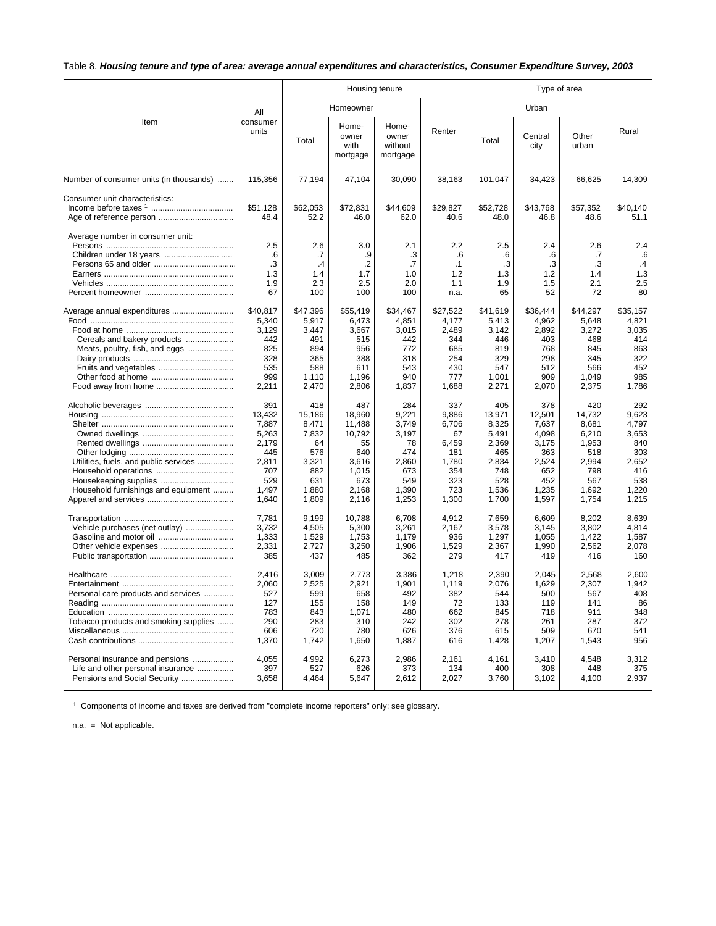## Table 8. *Housing tenure and type of area: average annual expenditures and characteristics, Consumer Expenditure Survey, 2003*

|                                                                                                      |                                                                                          |                                                                                       | Housing tenure                                                                            |                                                                                      |                                                                                    |                                                                                          | Type of area                                                                             |                                                                                          |                                                                                       |
|------------------------------------------------------------------------------------------------------|------------------------------------------------------------------------------------------|---------------------------------------------------------------------------------------|-------------------------------------------------------------------------------------------|--------------------------------------------------------------------------------------|------------------------------------------------------------------------------------|------------------------------------------------------------------------------------------|------------------------------------------------------------------------------------------|------------------------------------------------------------------------------------------|---------------------------------------------------------------------------------------|
|                                                                                                      | All                                                                                      |                                                                                       | Homeowner                                                                                 |                                                                                      |                                                                                    |                                                                                          | Urban                                                                                    |                                                                                          |                                                                                       |
| Item                                                                                                 | consumer<br>units                                                                        | Total                                                                                 | Home-<br>owner<br>with<br>mortgage                                                        | Home-<br>owner<br>without<br>mortgage                                                | Renter                                                                             | Total                                                                                    | Central<br>city                                                                          | Other<br>urban                                                                           | Rural                                                                                 |
| Number of consumer units (in thousands)                                                              | 115,356                                                                                  | 77,194                                                                                | 47,104                                                                                    | 30,090                                                                               | 38,163                                                                             | 101,047                                                                                  | 34,423                                                                                   | 66,625                                                                                   | 14,309                                                                                |
| Consumer unit characteristics:<br>Age of reference person                                            | \$51,128<br>48.4                                                                         | \$62,053<br>52.2                                                                      | \$72,831<br>46.0                                                                          | \$44,609<br>62.0                                                                     | \$29,827<br>40.6                                                                   | \$52,728<br>48.0                                                                         | \$43,768<br>46.8                                                                         | \$57,352<br>48.6                                                                         | \$40,140<br>51.1                                                                      |
| Average number in consumer unit:                                                                     | 2.5<br>.6<br>.3<br>1.3<br>1.9<br>67                                                      | 2.6<br>.7<br>.4<br>1.4<br>2.3<br>100                                                  | 3.0<br>.9<br>$\cdot$<br>1.7<br>2.5<br>100                                                 | 2.1<br>.3<br>.7<br>1.0<br>2.0<br>100                                                 | 2.2<br>$6^{\circ}$<br>$\cdot$ 1<br>1.2<br>1.1<br>n.a.                              | 2.5<br>.6<br>$\cdot$ 3<br>1.3<br>1.9<br>65                                               | 2.4<br>.6<br>.3<br>1.2<br>1.5<br>52                                                      | 2.6<br>.7<br>.3<br>1.4<br>2.1<br>72                                                      | 2.4<br>.6<br>.4<br>1.3<br>2.5<br>80                                                   |
| Average annual expenditures<br>Cereals and bakery products<br>Meats, poultry, fish, and eggs         | \$40,817<br>5,340<br>3,129<br>442<br>825<br>328<br>535<br>999<br>2,211                   | \$47,396<br>5,917<br>3,447<br>491<br>894<br>365<br>588<br>1,110<br>2,470              | \$55,419<br>6,473<br>3,667<br>515<br>956<br>388<br>611<br>1,196<br>2,806                  | \$34,467<br>4,851<br>3,015<br>442<br>772<br>318<br>543<br>940<br>1,837               | \$27,522<br>4,177<br>2,489<br>344<br>685<br>254<br>430<br>777<br>1,688             | \$41,619<br>5,413<br>3,142<br>446<br>819<br>329<br>547<br>1,001<br>2,271                 | \$36,444<br>4,962<br>2,892<br>403<br>768<br>298<br>512<br>909<br>2,070                   | \$44,297<br>5,648<br>3,272<br>468<br>845<br>345<br>566<br>1,049<br>2,375                 | \$35,157<br>4,821<br>3,035<br>414<br>863<br>322<br>452<br>985<br>1,786                |
| Utilities, fuels, and public services<br>Household furnishings and equipment                         | 391<br>13.432<br>7,887<br>5,263<br>2,179<br>445<br>2,811<br>707<br>529<br>1,497<br>1,640 | 418<br>15,186<br>8,471<br>7,832<br>64<br>576<br>3,321<br>882<br>631<br>1,880<br>1,809 | 487<br>18,960<br>11,488<br>10,792<br>55<br>640<br>3,616<br>1,015<br>673<br>2,168<br>2,116 | 284<br>9.221<br>3,749<br>3,197<br>78<br>474<br>2,860<br>673<br>549<br>1,390<br>1,253 | 337<br>9,886<br>6,706<br>67<br>6,459<br>181<br>1,780<br>354<br>323<br>723<br>1,300 | 405<br>13,971<br>8,325<br>5,491<br>2,369<br>465<br>2,834<br>748<br>528<br>1,536<br>1,700 | 378<br>12.501<br>7,637<br>4,098<br>3,175<br>363<br>2,524<br>652<br>452<br>1,235<br>1,597 | 420<br>14.732<br>8.681<br>6,210<br>1,953<br>518<br>2.994<br>798<br>567<br>1,692<br>1,754 | 292<br>9.623<br>4.797<br>3,653<br>840<br>303<br>2.652<br>416<br>538<br>1,220<br>1,215 |
| Vehicle purchases (net outlay)<br>Gasoline and motor oil<br>Other vehicle expenses                   | 7,781<br>3,732<br>1,333<br>2,331<br>385                                                  | 9,199<br>4,505<br>1,529<br>2,727<br>437                                               | 10,788<br>5,300<br>1,753<br>3,250<br>485                                                  | 6,708<br>3,261<br>1,179<br>1,906<br>362                                              | 4,912<br>2,167<br>936<br>1,529<br>279                                              | 7,659<br>3,578<br>1,297<br>2,367<br>417                                                  | 6,609<br>3,145<br>1,055<br>1,990<br>419                                                  | 8,202<br>3,802<br>1,422<br>2,562<br>416                                                  | 8,639<br>4,814<br>1,587<br>2,078<br>160                                               |
| Personal care products and services<br>Tobacco products and smoking supplies                         | 2,416<br>2,060<br>527<br>127<br>783<br>290<br>606<br>1,370                               | 3,009<br>2,525<br>599<br>155<br>843<br>283<br>720<br>1,742                            | 2,773<br>2,921<br>658<br>158<br>1,071<br>310<br>780<br>1,650                              | 3,386<br>1,901<br>492<br>149<br>480<br>242<br>626<br>1,887                           | 1,218<br>1,119<br>382<br>72<br>662<br>302<br>376<br>616                            | 2,390<br>2,076<br>544<br>133<br>845<br>278<br>615<br>1,428                               | 2,045<br>1,629<br>500<br>119<br>718<br>261<br>509<br>1,207                               | 2,568<br>2,307<br>567<br>141<br>911<br>287<br>670<br>1,543                               | 2,600<br>1,942<br>408<br>86<br>348<br>372<br>541<br>956                               |
| Personal insurance and pensions<br>Life and other personal insurance<br>Pensions and Social Security | 4.055<br>397<br>3,658                                                                    | 4.992<br>527<br>4,464                                                                 | 6,273<br>626<br>5,647                                                                     | 2.986<br>373<br>2,612                                                                | 2.161<br>134<br>2,027                                                              | 4.161<br>400<br>3,760                                                                    | 3,410<br>308<br>3,102                                                                    | 4.548<br>448<br>4,100                                                                    | 3.312<br>375<br>2,937                                                                 |

<sup>1</sup> Components of income and taxes are derived from "complete income reporters" only; see glossary.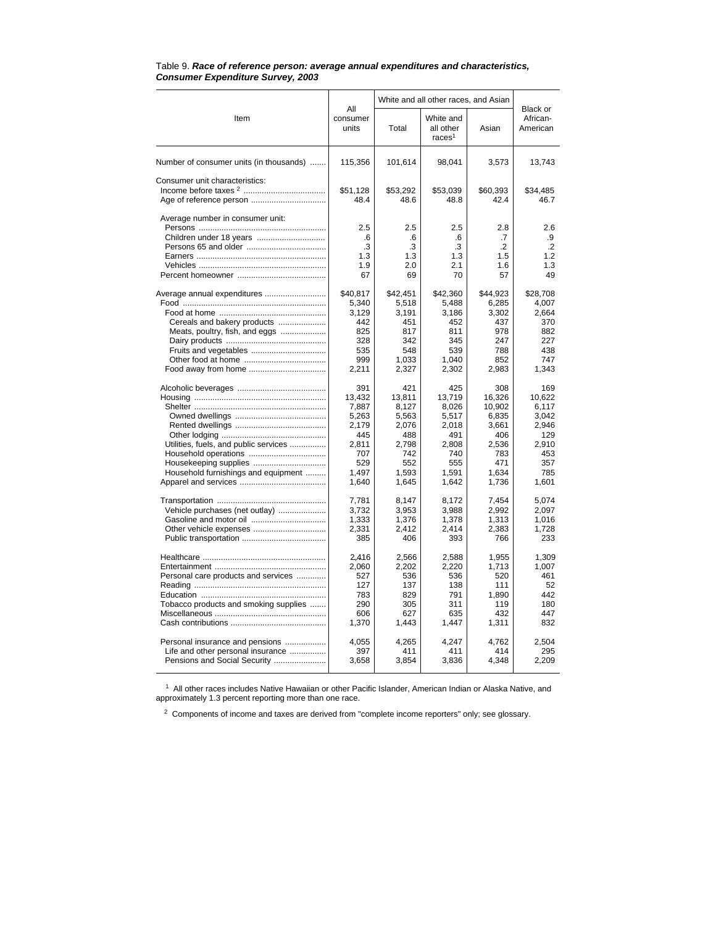|                                                                      |                          | White and all other races, and Asian |                                              |                   |                                  |  |
|----------------------------------------------------------------------|--------------------------|--------------------------------------|----------------------------------------------|-------------------|----------------------------------|--|
| Item                                                                 | All<br>consumer<br>units | Total                                | White and<br>all other<br>races <sup>1</sup> | Asian             | Black or<br>African-<br>American |  |
| Number of consumer units (in thousands)                              | 115,356                  | 101,614                              | 98,041                                       | 3,573             | 13,743                           |  |
| Consumer unit characteristics:                                       |                          |                                      |                                              |                   |                                  |  |
|                                                                      | \$51,128                 | \$53,292                             | \$53,039                                     | \$60,393          | \$34,485                         |  |
|                                                                      | 48.4                     | 48.6                                 | 48.8                                         | 42.4              | 46.7                             |  |
| Average number in consumer unit:                                     | 2.5                      | 2.5                                  | 2.5                                          | 2.8               | 2.6                              |  |
|                                                                      | .6                       | .6                                   | .6                                           | .7                | .9                               |  |
|                                                                      | .3                       | .3                                   | .3                                           | .2                | $\cdot$                          |  |
|                                                                      | 1.3                      | 1.3                                  | 1.3                                          | 1.5               | 1.2                              |  |
|                                                                      | 1.9                      | 2.0                                  | 2.1                                          | 1.6               | 1.3                              |  |
|                                                                      | 67                       | 69                                   | 70                                           | 57                | 49                               |  |
| Average annual expenditures                                          | \$40,817<br>5,340        | \$42,451<br>5,518                    | \$42,360<br>5,488                            | \$44,923<br>6,285 | \$28,708<br>4,007                |  |
|                                                                      | 3,129                    | 3,191                                | 3,186                                        | 3,302             | 2,664                            |  |
| Cereals and bakery products                                          | 442                      | 451                                  | 452                                          | 437               | 370                              |  |
| Meats, poultry, fish, and eggs                                       | 825                      | 817                                  | 811                                          | 978               | 882                              |  |
|                                                                      | 328                      | 342                                  | 345                                          | 247               | 227                              |  |
|                                                                      | 535<br>999               | 548<br>1,033                         | 539<br>1,040                                 | 788<br>852        | 438<br>747                       |  |
|                                                                      | 2,211                    | 2,327                                | 2,302                                        | 2,983             | 1,343                            |  |
|                                                                      | 391                      | 421                                  | 425                                          | 308               | 169                              |  |
|                                                                      | 13,432                   | 13.811                               | 13.719                                       | 16.326            | 10.622                           |  |
|                                                                      | 7,887                    | 8,127                                | 8,026                                        | 10,902            | 6,117                            |  |
|                                                                      | 5,263                    | 5,563                                | 5,517                                        | 6,835             | 3,042                            |  |
|                                                                      | 2,179                    | 2,076                                | 2,018                                        | 3,661             | 2,946                            |  |
|                                                                      | 445<br>2.811             | 488                                  | 491                                          | 406               | 129                              |  |
| Utilities, fuels, and public services                                | 707                      | 2,798<br>742                         | 2,808<br>740                                 | 2,536<br>783      | 2,910<br>453                     |  |
|                                                                      | 529                      | 552                                  | 555                                          | 471               | 357                              |  |
| Household furnishings and equipment                                  | 1,497                    | 1,593                                | 1,591                                        | 1.634             | 785                              |  |
|                                                                      | 1,640                    | 1,645                                | 1.642                                        | 1,736             | 1,601                            |  |
|                                                                      | 7,781                    | 8,147                                | 8,172                                        | 7,454             | 5,074                            |  |
| Vehicle purchases (net outlay)                                       | 3,732                    | 3,953                                | 3,988                                        | 2,992             | 2,097                            |  |
|                                                                      | 1,333                    | 1.376                                | 1,378                                        | 1,313             | 1,016                            |  |
|                                                                      | 2,331                    | 2,412                                | 2,414                                        | 2,383             | 1,728                            |  |
|                                                                      | 385                      | 406                                  | 393                                          | 766               | 233                              |  |
|                                                                      | 2,416                    | 2,566                                | 2,588                                        | 1,955             | 1,309                            |  |
|                                                                      | 2,060                    | 2,202                                | 2,220                                        | 1,713             | 1.007                            |  |
| Personal care products and services                                  | 527                      | 536                                  | 536                                          | 520               | 461                              |  |
|                                                                      | 127                      | 137                                  | 138                                          | 111               | 52                               |  |
| Tobacco products and smoking supplies                                | 783<br>290               | 829<br>305                           | 791<br>311                                   | 1,890<br>119      | 442<br>180                       |  |
|                                                                      | 606                      | 627                                  | 635                                          | 432               | 447                              |  |
|                                                                      | 1,370                    | 1,443                                | 1,447                                        | 1,311             | 832                              |  |
|                                                                      |                          |                                      |                                              |                   |                                  |  |
| Personal insurance and pensions<br>Life and other personal insurance | 4,055<br>397             | 4,265<br>411                         | 4,247<br>411                                 | 4,762<br>414      | 2,504<br>295                     |  |
| Pensions and Social Security                                         | 3,658                    | 3,854                                | 3,836                                        | 4,348             | 2,209                            |  |
|                                                                      |                          |                                      |                                              |                   |                                  |  |

#### Table 9. *Race of reference person: average annual expenditures and characteristics, Consumer Expenditure Survey, 2003*

<sup>1</sup> All other races includes Native Hawaiian or other Pacific Islander, American Indian or Alaska Native, and approximately 1.3 percent reporting more than one race.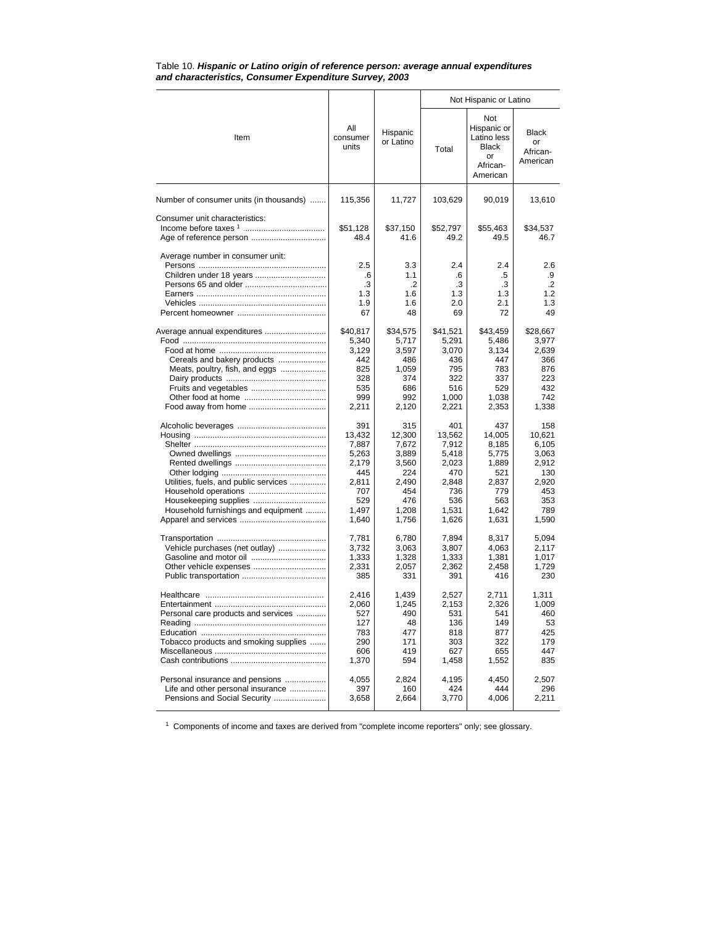|                                                                                                                                                                                      |                                                                                          |                                                                                          | Not Hispanic or Latino                                                                   |                                                                                          |                                                                                        |  |  |
|--------------------------------------------------------------------------------------------------------------------------------------------------------------------------------------|------------------------------------------------------------------------------------------|------------------------------------------------------------------------------------------|------------------------------------------------------------------------------------------|------------------------------------------------------------------------------------------|----------------------------------------------------------------------------------------|--|--|
| Item                                                                                                                                                                                 | All<br>consumer<br>units                                                                 | Hispanic<br>or Latino                                                                    | Total                                                                                    | Not<br>Hispanic or<br>Latino less<br><b>Black</b><br>or<br>African-<br>American          | <b>Black</b><br>or<br>African-<br>American                                             |  |  |
| Number of consumer units (in thousands)                                                                                                                                              | 115,356                                                                                  | 11,727                                                                                   | 103,629                                                                                  | 90,019                                                                                   | 13,610                                                                                 |  |  |
| Consumer unit characteristics:                                                                                                                                                       | \$51,128<br>48.4                                                                         | \$37,150<br>41.6                                                                         | \$52,797<br>49.2                                                                         | \$55,463<br>49.5                                                                         | \$34,537<br>46.7                                                                       |  |  |
| Average number in consumer unit:                                                                                                                                                     | 2.5<br>.6<br>.3<br>1.3<br>1.9<br>67                                                      | 3.3<br>1.1<br>$\cdot$<br>1.6<br>1.6<br>48                                                | 2.4<br>.6<br>.3<br>1.3<br>2.0<br>69                                                      | 2.4<br>.5<br>.3<br>1.3<br>2.1<br>72                                                      | 2.6<br>.9<br>.2<br>1.2<br>1.3<br>49                                                    |  |  |
| Average annual expenditures<br>Cereals and bakery products<br>Meats, poultry, fish, and eggs<br>Fruits and vegetables                                                                | \$40,817<br>5,340<br>3,129<br>442<br>825<br>328<br>535<br>999<br>2,211                   | \$34,575<br>5,717<br>3,597<br>486<br>1,059<br>374<br>686<br>992<br>2,120                 | \$41,521<br>5,291<br>3,070<br>436<br>795<br>322<br>516<br>1,000<br>2,221                 | \$43,459<br>5,486<br>3,134<br>447<br>783<br>337<br>529<br>1,038<br>2,353                 | \$28,667<br>3,977<br>2,639<br>366<br>876<br>223<br>432<br>742<br>1,338                 |  |  |
| Utilities, fuels, and public services<br>Household furnishings and equipment                                                                                                         | 391<br>13,432<br>7,887<br>5,263<br>2,179<br>445<br>2,811<br>707<br>529<br>1,497<br>1,640 | 315<br>12,300<br>7,672<br>3,889<br>3,560<br>224<br>2,490<br>454<br>476<br>1,208<br>1,756 | 401<br>13,562<br>7,912<br>5,418<br>2,023<br>470<br>2,848<br>736<br>536<br>1,531<br>1,626 | 437<br>14,005<br>8,185<br>5,775<br>1,889<br>521<br>2,837<br>779<br>563<br>1,642<br>1,631 | 158<br>10,621<br>6,105<br>3,063<br>2,912<br>130<br>2,920<br>453<br>353<br>789<br>1,590 |  |  |
| Vehicle purchases (net outlay)<br>Gasoline and motor oil<br>Other vehicle expenses                                                                                                   | 7,781<br>3,732<br>1,333<br>2,331<br>385                                                  | 6.780<br>3,063<br>1,328<br>2,057<br>331                                                  | 7,894<br>3,807<br>1,333<br>2,362<br>391                                                  | 8,317<br>4,063<br>1,381<br>2,458<br>416                                                  | 5,094<br>2,117<br>1,017<br>1,729<br>230                                                |  |  |
| Personal care products and services<br>Tobacco products and smoking supplies<br>Personal insurance and pensions<br>Life and other personal insurance<br>Pensions and Social Security | 2,416<br>2,060<br>527<br>127<br>783<br>290<br>606<br>1,370<br>4,055<br>397<br>3,658      | 1,439<br>1,245<br>490<br>48<br>477<br>171<br>419<br>594<br>2,824<br>160<br>2,664         | 2,527<br>2,153<br>531<br>136<br>818<br>303<br>627<br>1,458<br>4,195<br>424<br>3,770      | 2.711<br>2,326<br>541<br>149<br>877<br>322<br>655<br>1,552<br>4,450<br>444<br>4,006      | 1,311<br>1,009<br>460<br>53<br>425<br>179<br>447<br>835<br>2,507<br>296<br>2,211       |  |  |

#### Table 10. *Hispanic or Latino origin of reference person: average annual expenditures and characteristics, Consumer Expenditure Survey, 2003*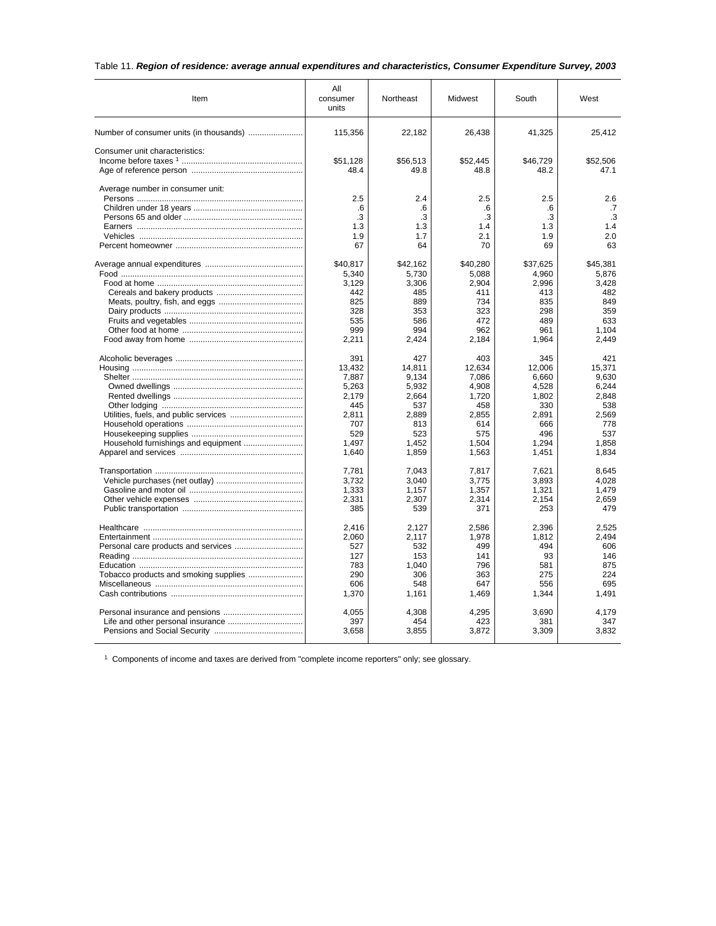## Table 11. *Region of residence: average annual expenditures and characteristics, Consumer Expenditure Survey, 2003*

| Item                             | All<br>consumer<br>units | Northeast      | Midwest        | South          | West           |  |
|----------------------------------|--------------------------|----------------|----------------|----------------|----------------|--|
|                                  | 115,356                  | 22,182         | 26,438         | 41,325         | 25,412         |  |
| Consumer unit characteristics:   |                          |                |                |                |                |  |
|                                  | \$51,128                 | \$56,513       | \$52,445       | \$46.729       | \$52,506       |  |
|                                  | 48.4                     | 49.8           | 48.8           | 48.2           | 47.1           |  |
| Average number in consumer unit: |                          |                |                |                |                |  |
|                                  | 2.5                      | 2.4            | 2.5            | 2.5            | 2.6            |  |
|                                  | .6<br>.3                 | .6<br>.3       | .6<br>.3       | .6<br>.3       | .7<br>.3       |  |
|                                  | 1.3                      | 1.3            | 1.4            | 1.3            | 1.4            |  |
|                                  | 1.9                      | 1.7            | 2.1            | 1.9            | 2.0            |  |
|                                  | 67                       | 64             | 70             | 69             | 63             |  |
|                                  | \$40,817                 | \$42,162       | \$40,280       | \$37,625       | \$45,381       |  |
|                                  | 5,340                    | 5,730          | 5,088          | 4,960          | 5,876          |  |
|                                  | 3,129                    | 3,306          | 2,904          | 2,996          | 3,428          |  |
|                                  | 442                      | 485            | 411            | 413            | 482            |  |
|                                  | 825                      | 889            | 734            | 835            | 849            |  |
|                                  | 328                      | 353            | 323            | 298            | 359            |  |
|                                  | 535                      | 586            | 472            | 489            | 633            |  |
|                                  | 999<br>2,211             | 994<br>2,424   | 962<br>2,184   | 961<br>1,964   | 1,104<br>2,449 |  |
|                                  |                          |                |                |                |                |  |
|                                  | 391                      | 427            | 403            | 345            | 421            |  |
|                                  | 13,432                   | 14,811         | 12,634         | 12,006         | 15,371         |  |
|                                  | 7,887                    | 9,134          | 7,086          | 6,660          | 9.630          |  |
|                                  | 5,263<br>2,179           | 5,932<br>2,664 | 4,908<br>1,720 | 4,528<br>1,802 | 6,244<br>2,848 |  |
|                                  | 445                      | 537            | 458            | 330            | 538            |  |
|                                  | 2,811                    | 2,889          | 2,855          | 2,891          | 2,569          |  |
|                                  | 707                      | 813            | 614            | 666            | 778            |  |
|                                  | 529                      | 523            | 575            | 496            | 537            |  |
|                                  | 1.497                    | 1.452          | 1.504          | 1.294          | 1.858          |  |
|                                  | 1,640                    | 1,859          | 1,563          | 1,451          | 1,834          |  |
|                                  | 7,781                    | 7,043          | 7,817          | 7,621          | 8,645          |  |
|                                  | 3,732                    | 3,040          | 3,775          | 3,893          | 4.028          |  |
|                                  | 1,333                    | 1,157          | 1,357          | 1,321          | 1,479          |  |
|                                  | 2,331                    | 2.307          | 2,314          | 2.154          | 2,659          |  |
|                                  | 385                      | 539            | 371            | 253            | 479            |  |
|                                  | 2,416                    | 2,127          | 2,586          | 2,396          | 2,525          |  |
|                                  | 2,060                    | 2,117          | 1,978          | 1,812          | 2.494          |  |
|                                  | 527                      | 532            | 499            | 494            | 606            |  |
|                                  | 127                      | 153            | 141            | 93             | 146            |  |
|                                  | 783                      | 1,040          | 796            | 581            | 875            |  |
|                                  | 290                      | 306            | 363            | 275            | 224            |  |
|                                  | 606                      | 548            | 647            | 556            | 695            |  |
|                                  | 1,370                    | 1,161          | 1,469          | 1,344          | 1,491          |  |
|                                  | 4,055                    | 4,308          | 4,295          | 3,690          | 4,179          |  |
|                                  | 397                      | 454            | 423            | 381            | 347            |  |
|                                  | 3,658                    | 3,855          | 3,872          | 3,309          | 3,832          |  |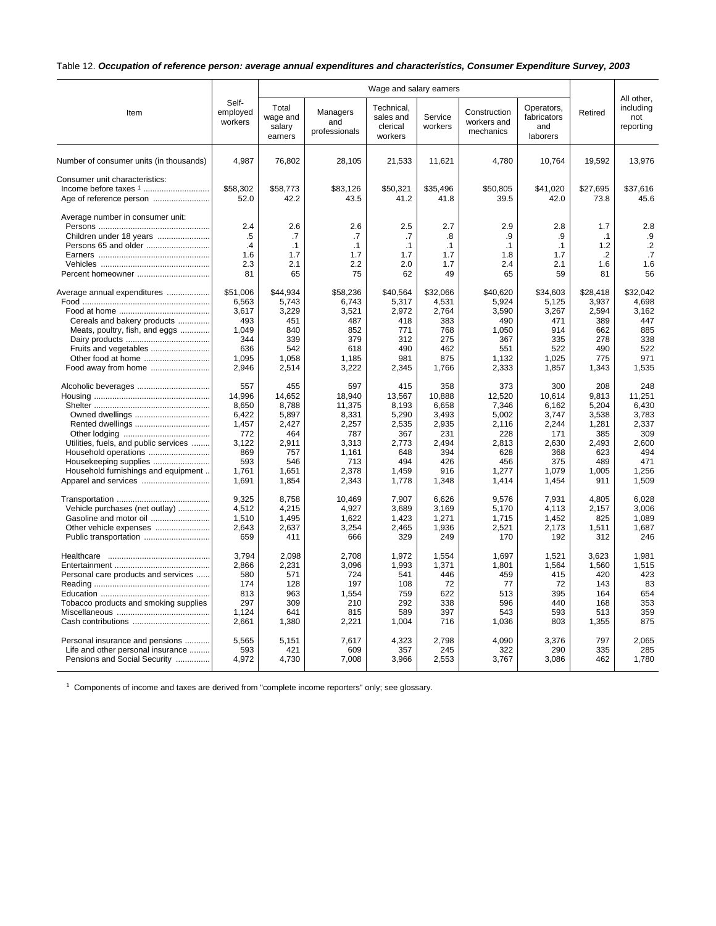## Table 12. *Occupation of reference person: average annual expenditures and characteristics, Consumer Expenditure Survey, 2003*

|                                                                                                          | Wage and salary earners             |                                            |                                            |                                                |                                            | All other,                                 |                                              |                                            |                                         |
|----------------------------------------------------------------------------------------------------------|-------------------------------------|--------------------------------------------|--------------------------------------------|------------------------------------------------|--------------------------------------------|--------------------------------------------|----------------------------------------------|--------------------------------------------|-----------------------------------------|
| Item                                                                                                     | Self-<br>employed<br>workers        | Total<br>wage and<br>salary<br>earners     | Managers<br>and<br>professionals           | Technical,<br>sales and<br>clerical<br>workers | Service<br>workers                         | Construction<br>workers and<br>mechanics   | Operators,<br>fabricators<br>and<br>laborers | Retired                                    | including<br>not<br>reporting           |
| Number of consumer units (in thousands)                                                                  | 4.987                               | 76,802                                     | 28,105                                     | 21,533                                         | 11,621                                     | 4,780                                      | 10,764                                       | 19,592                                     | 13,976                                  |
| Consumer unit characteristics:<br>Age of reference person                                                | \$58,302<br>52.0                    | \$58,773<br>42.2                           | \$83.126<br>43.5                           | \$50.321<br>41.2                               | \$35,496<br>41.8                           | \$50.805<br>39.5                           | \$41.020<br>42.0                             | \$27.695<br>73.8                           | \$37.616<br>45.6                        |
| Average number in consumer unit:<br>Children under 18 years<br>Persons 65 and older<br>Percent homeowner | 2.4<br>.5<br>.4<br>1.6<br>2.3<br>81 | 2.6<br>.7<br>$\cdot$ 1<br>1.7<br>2.1<br>65 | 2.6<br>.7<br>$\cdot$ 1<br>1.7<br>2.2<br>75 | 2.5<br>.7<br>.1<br>1.7<br>2.0<br>62            | 2.7<br>.8<br>$\cdot$ 1<br>1.7<br>1.7<br>49 | 2.9<br>.9<br>$\cdot$ 1<br>1.8<br>2.4<br>65 | 2.8<br>.9<br>$\cdot$ 1<br>1.7<br>2.1<br>59   | 1.7<br>$\cdot$ 1<br>1.2<br>.2<br>1.6<br>81 | 2.8<br>.9<br>$\cdot$<br>.7<br>1.6<br>56 |
| Average annual expenditures                                                                              | \$51,006                            | \$44,934                                   | \$58,236                                   | \$40,564                                       | \$32,066                                   | \$40,620                                   | \$34,603                                     | \$28,418                                   | \$32.042                                |
|                                                                                                          | 6,563                               | 5,743                                      | 6,743                                      | 5,317                                          | 4,531                                      | 5,924                                      | 5,125                                        | 3,937                                      | 4.698                                   |
|                                                                                                          | 3,617                               | 3,229                                      | 3,521                                      | 2,972                                          | 2,764                                      | 3,590                                      | 3,267                                        | 2,594                                      | 3,162                                   |
| Cereals and bakery products                                                                              | 493                                 | 451                                        | 487                                        | 418                                            | 383                                        | 490                                        | 471                                          | 389                                        | 447                                     |
| Meats, poultry, fish, and eggs                                                                           | 1,049                               | 840                                        | 852                                        | 771                                            | 768                                        | 1,050                                      | 914                                          | 662                                        | 885                                     |
|                                                                                                          | 344                                 | 339                                        | 379                                        | 312                                            | 275                                        | 367                                        | 335                                          | 278                                        | 338                                     |
|                                                                                                          | 636                                 | 542                                        | 618                                        | 490                                            | 462                                        | 551                                        | 522                                          | 490                                        | 522                                     |
| Other food at home                                                                                       | 1,095                               | 1,058                                      | 1,185                                      | 981                                            | 875                                        | 1,132                                      | 1,025                                        | 775                                        | 971                                     |
| Food away from home                                                                                      | 2,946                               | 2,514                                      | 3,222                                      | 2,345                                          | 1,766                                      | 2,333                                      | 1,857                                        | 1,343                                      | 1.535                                   |
| Alcoholic beverages                                                                                      | 557                                 | 455                                        | 597                                        | 415                                            | 358                                        | 373                                        | 300                                          | 208                                        | 248                                     |
|                                                                                                          | 14,996                              | 14,652                                     | 18,940                                     | 13,567                                         | 10,888                                     | 12,520                                     | 10,614                                       | 9,813                                      | 11,251                                  |
|                                                                                                          | 8,650                               | 8,788                                      | 11,375                                     | 8.193                                          | 6,658                                      | 7,346                                      | 6,162                                        | 5,204                                      | 6.430                                   |
| Owned dwellings                                                                                          | 6,422                               | 5,897                                      | 8,331                                      | 5,290                                          | 3,493                                      | 5.002                                      | 3,747                                        | 3,538                                      | 3.783                                   |
|                                                                                                          | 1,457                               | 2,427                                      | 2,257                                      | 2,535                                          | 2,935                                      | 2,116                                      | 2,244                                        | 1,281                                      | 2,337                                   |
|                                                                                                          | 772                                 | 464                                        | 787                                        | 367                                            | 231                                        | 228                                        | 171                                          | 385                                        | 309                                     |
| Utilities, fuels, and public services                                                                    | 3,122                               | 2,911                                      | 3,313                                      | 2,773                                          | 2,494                                      | 2,813                                      | 2,630                                        | 2,493                                      | 2,600                                   |
| Household operations                                                                                     | 869                                 | 757                                        | 1,161                                      | 648                                            | 394                                        | 628                                        | 368                                          | 623                                        | 494                                     |
| Housekeeping supplies                                                                                    | 593                                 | 546                                        | 713                                        | 494                                            | 426                                        | 456                                        | 375                                          | 489                                        | 471                                     |
| Household furnishings and equipment                                                                      | 1,761                               | 1,651                                      | 2,378                                      | 1,459                                          | 916                                        | 1,277                                      | 1,079                                        | 1.005                                      | 1,256                                   |
| Apparel and services                                                                                     | 1,691                               | 1,854                                      | 2,343                                      | 1,778                                          | 1,348                                      | 1,414                                      | 1,454                                        | 911                                        | 1,509                                   |
|                                                                                                          | 9,325                               | 8,758                                      | 10,469                                     | 7,907                                          | 6,626                                      | 9,576                                      | 7,931                                        | 4,805                                      | 6,028                                   |
| Vehicle purchases (net outlay)                                                                           | 4,512                               | 4,215                                      | 4,927                                      | 3,689                                          | 3,169                                      | 5,170                                      | 4,113                                        | 2,157                                      | 3,006                                   |
| Gasoline and motor oil                                                                                   | 1,510                               | 1,495                                      | 1,622                                      | 1,423                                          | 1,271                                      | 1,715                                      | 1,452                                        | 825                                        | 1,089                                   |
| Other vehicle expenses                                                                                   | 2.643                               | 2,637                                      | 3,254                                      | 2,465                                          | 1,936                                      | 2,521                                      | 2,173                                        | 1,511                                      | 1.687                                   |
| Public transportation                                                                                    | 659                                 | 411                                        | 666                                        | 329                                            | 249                                        | 170                                        | 192                                          | 312                                        | 246                                     |
|                                                                                                          | 3,794                               | 2,098                                      | 2.708                                      | 1.972                                          | 1,554                                      | 1,697                                      | 1.521                                        | 3.623                                      | 1.981                                   |
|                                                                                                          | 2.866                               | 2,231                                      | 3.096                                      | 1,993                                          | 1,371                                      | 1.801                                      | 1,564                                        | 1.560                                      | 1.515                                   |
| Personal care products and services                                                                      | 580                                 | 571                                        | 724                                        | 541                                            | 446                                        | 459                                        | 415                                          | 420                                        | 423                                     |
|                                                                                                          | 174                                 | 128                                        | 197                                        | 108                                            | 72                                         | 77                                         | 72                                           | 143                                        | 83                                      |
|                                                                                                          | 813                                 | 963                                        | 1,554                                      | 759                                            | 622                                        | 513                                        | 395                                          | 164                                        | 654                                     |
| Tobacco products and smoking supplies                                                                    | 297                                 | 309                                        | 210                                        | 292                                            | 338                                        | 596                                        | 440                                          | 168                                        | 353                                     |
|                                                                                                          | 1,124                               | 641                                        | 815                                        | 589                                            | 397                                        | 543                                        | 593                                          | 513                                        | 359                                     |
|                                                                                                          | 2,661                               | 1,380                                      | 2,221                                      | 1,004                                          | 716                                        | 1,036                                      | 803                                          | 1,355                                      | 875                                     |
| Personal insurance and pensions                                                                          | 5.565                               | 5.151                                      | 7.617                                      | 4.323                                          | 2.798                                      | 4.090                                      | 3.376                                        | 797                                        | 2.065                                   |
| Life and other personal insurance                                                                        | 593                                 | 421                                        | 609                                        | 357                                            | 245                                        | 322                                        | 290                                          | 335                                        | 285                                     |
| Pensions and Social Security                                                                             | 4,972                               | 4,730                                      | 7,008                                      | 3,966                                          | 2,553                                      | 3,767                                      | 3,086                                        | 462                                        | 1,780                                   |